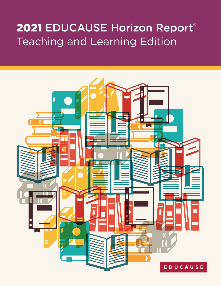# 2021 EDUCAUSE Horizon Report® Teaching and Learning Edition

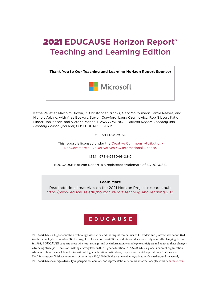## 2021 **EDUCAUSE Horizon Report®** Teaching and Learning Edition

**Thank You to Our Teaching and Learning Horizon Report Sponsor** Microsoft

Kathe Pelletier, Malcolm Brown, D. Christopher Brooks, Mark McCormack, Jamie Reeves, and Nichole Arbino, with Aras Bozkurt, Steven Crawford, Laura Czerniewicz, Rob Gibson, Katie Linder, Jon Mason, and Victoria Mondelli, *2021 EDUCAUSE Horizon Report, Teaching and Learning Edition* (Boulder, CO: EDUCAUSE, 2021).

© 2021 EDUCAUSE

This report is licensed under the [Creative Commons Attribution-](https://creativecommons.org/licenses/by-nc-nd/4.0/)[NonCommercial-NoDerivatives 4.0 International License.](https://creativecommons.org/licenses/by-nc-nd/4.0/)

ISBN: 978-1-933046-08-2

EDUCAUSE Horizon Report is a registered trademark of EDUCAUSE.

#### Learn More

Read additional materials on the 2021 Horizon Project research hub, <https://www.educause.edu/horizon-report-teaching-and-learning-2021>

## EDUCAUSE

EDUCAUSE is a higher education technology association and the largest community of IT leaders and professionals committed to advancing higher education. Technology, IT roles and responsibilities, and higher education are dynamically changing. Formed in 1998, EDUCAUSE supports those who lead, manage, and use information technology to anticipate and adapt to these changes, advancing strategic IT decision-making at every level within higher education. EDUCAUSE is a global nonprofit organization whose members include US and international higher education institutions, corporations, not-for-profit organizations, and K–12 institutions. With a community of more than 100,000 individuals at member organizations located around the world, EDUCAUSE encourages diversity in perspective, opinion, and representation. For more information, please visit [educause.edu](https://www.educause.edu/).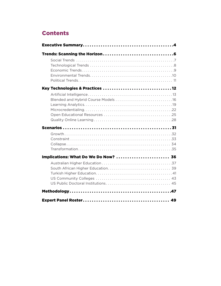## **Contents**

| Key Technologies & Practices  12     |
|--------------------------------------|
|                                      |
|                                      |
|                                      |
| Implications: What Do We Do Now?  36 |
|                                      |
|                                      |
|                                      |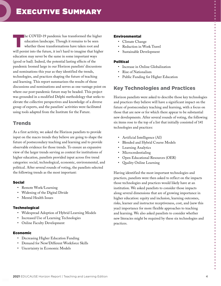<span id="page-3-0"></span>The COVID-19 pandemic has transformed the higher<br>education landscape. Though it remains to be seen<br>whether those transformations have taken root and education landscape. Though it remains to be seen whether those transformations have taken root and will persist into the future, it isn't hard to imagine that higher education may never be the same in some important ways (good or bad). Indeed, the potential lasting effects of the pandemic loomed large in our Horizon panelists' discussions and nominations this year as they identified the trends, technologies, and practices shaping the future of teaching and learning. This report summarizes the results of those discussions and nominations and serves as one vantage point on where our post-pandemic future may be headed. This project was grounded in a modified Delphi methodology that seeks to elevate the collective perspectives and knowledge of a diverse group of experts, and the panelists' activities were facilitated using tools adapted from the Institute for the Future.

## **Trends**

As a first activity, we asked the Horizon panelists to provide input on the macro trends they believe are going to shape the future of postsecondary teaching and learning and to provide observable evidence for those trends. To ensure an expansive view of the larger trends serving as context for institutions of higher education, panelists provided input across five trend categories: social, technological, economic, environmental, and political. After several rounds of voting, the panelists selected the following trends as the most important:

#### <span id="page-3-1"></span>Social

- Remote Work/Learning
- Widening of the Digital Divide
- Mental Health Issues

#### **Technological**

- Widespread Adoption of Hybrid Learning Models
- Increased Use of Learning Technologies
- Online Faculty Development

#### Economic

- Decreasing Higher Education Funding
- Demand for New/Different Workforce Skills
- Uncertainty in Economic Models

#### Environmental

- Climate Change
- Reduction in Work Travel
- Sustainable Development

#### Political

- Increase in Online Globalization
- Rise of Nationalism
- Public Funding for Higher Education

## Key Technologies and Practices

Horizon panelists were asked to describe those key technologies and practices they believe will have a significant impact on the future of postsecondary teaching and learning, with a focus on those that are new or for which there appear to be substantial new developments. After several rounds of voting, the following six items rose to the top of a list that initially consisted of 141 technologies and practices:

- Artificial Intelligence (AI)
- Blended and Hybrid Course Models
- Learning Analytics
- Microcredentialing
- Open Educational Resources (OER)
- Quality Online Learning

Having identified the most important technologies and practices, panelists were then asked to reflect on the impacts those technologies and practices would likely have at an institution. We asked panelists to consider those impacts along several dimensions that are of growing importance in higher education: equity and inclusion, learning outcomes, risks, learner and instructor receptiveness, cost, and (new this year) importance for more flexible approaches to teaching and learning. We also asked panelists to consider whether new literacies might be required by these six technologies and practices.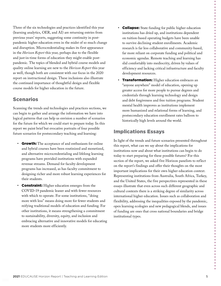Three of the six technologies and practices identified this year (learning analytics, OER, and AI) are returning entries from previous years' reports, suggesting some continuity in postpandemic higher education even in the midst of so much change and disruption. Microcredentialing makes its first appearance in the *Horizon Report* this year, perhaps due to the flexible and just-in-time forms of education they might enable postpandemic. The topics of blended and hybrid course models and quality online learning are new to the *Horizon Report* this year as well, though both are consistent with our focus in the 2020 report on instructional design. These inclusions also illustrate the continued importance of thoughtful design and flexible course models for higher education in the future.

### Scenarios

Scanning the trends and technologies and practices sections, we can begin to gather and arrange the information we have into logical patterns that can help us envision a number of scenarios for the future for which we could start to prepare today. In this report we paint brief but evocative portraits of four possible future scenarios for postsecondary teaching and learning:

- Growth: The acceptance of and enthusiasm for online and hybrid courses have been routinized and monetized, and alternative microcredentialing and lifelong learning programs have provided institutions with expanded revenue streams. Demand for faculty development programs has increased, as has faculty commitment to designing richer and more robust learning experiences for their students.
- **Constraint:** Higher education emerges from the COVID-19 pandemic leaner and with fewer resources with which to operate. For some institutions, "doing more with less" means doing more for fewer students and reifying traditional models of education and funding. For other institutions, it means strengthening a commitment to sustainability, diversity, equity, and inclusion and embracing alternative and innovative models for educating more students more efficiently.
- **Collapse:** State funding for public higher education institutions has dried up, and institutions dependent on tuition-based operating budgets have been unable to survive declining student enrollments. Academic research is far less collaborative and community-based, far more reliant on corporate funding and political and economic agendas. Remote teaching and learning has slid comfortably into mediocrity, driven by values of efficiency and lacking critical infrastructure and faculty development resources.
- **Transformation:** Higher education embraces an "anyone anywhere" model of education, opening up greater access for more people to pursue degrees and credentials through learning technology and design and debt forgiveness and free tuition programs. Student mental health improves as institutions implement more humanized and relational forms of learning, and postsecondary education enrollment rates balloon to historically high levels around the world.

## Implications Essays

In light of the trends and future scenarios presented throughout this report, what can we say about the implications for institutions now and about what institutions can begin to do today to start preparing for these possible futures? For this section of the report, we asked five Horizon panelists to reflect on the report's findings and offer their thoughts on the most important implications for their own higher education context. Representing institutions from Australia, South Africa, Turkey, and the United States, the five perspectives represented in these essays illustrate that even across such different geographic and cultural contexts there is a striking degree of similarity across international higher education. Issues such as collaboration and flexibility, addressing the inequalities exposed by the pandemic, open learning ecologies and new pedagogical blends, and issues of funding are ones that cross national boundaries and bridge institutional types.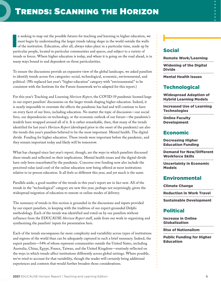<span id="page-5-0"></span>I n seeking to map out the possible futures for teaching and learning in higher education, we must begin by understanding the larger trends taking shape in the world outside the walls of the institution. Education, after all, always takes place in a particular time, made up by particular people, located in particular communities and spaces, and subject to a variety of trends or forces. Where higher education is today, and where it is going on the road ahead, is in many ways bound to and dependent on those particularities.

To ensure the discussions provide an expansive view of the global landscape, we asked panelists to identify trends across five categories: social, technological, economic, environmental, and political. (We replaced last year's "higher education" category with "environmental" to be consistent with the Institute for the Future framework we've adapted for this report.)

For this year's Teaching and Learning *Horizon Report*, the COVID-19 pandemic loomed large in our expert panelists' discussions on the larger trends shaping higher education. Indeed, it is nearly impossible to overstate the effects the pandemic has had and will continue to have on every facet of our lives, including education. No matter the topic of discussion—our social lives, our dependencies on technology, or the economic outlook of our future—the pandemic's tendrils have wrapped around all of it. It is rather remarkable, then, that many of the trends identified for last year's *Horizon Report* (developed prior to the onset of the pandemic) are also the trends this year's panelists believed to be the most important. Mental health. The digital divide. Funding for higher education. These trends were important before the pandemic, and they remain important today and likely will be tomorrow.

What has changed since last year's report, though, are the ways in which panelists discussed these trends and reflected on their implications. Mental health issues and the digital divide have only been exacerbated by the pandemic. Concerns over funding now also include the perceived value (and cost) of the online education now being offered at most institutions relative to in-person education. It all feels so different this year, and yet much is the same.

Parallels aside, a good number of the trends in this year's report are in fact new. All of the trends in the "technological" category are new this year, perhaps not surprisingly, given the widespread migration of education to remote or online modes of delivery.

The summary of trends in this section is grounded in the discussions and inputs provided by our expert panelists, in keeping with the tradition of our expert-grounded Delphi methodology. Each of the trends was identified and voted on by our panelists without influence from the EDUCAUSE *Horizon Report* staff, aside from our work in organizing and synthesizing the panelists' inputs for presentation here.

Each of the trends encompasses far more complexity and variability across types of institutions and regions of the world than can be adequately captured in such a brief summary. Indeed, the expert panelists—54% of whom represent communities outside the United States, including Australia, China, Egypt, France, Taiwan, and the United Kingdom—routinely reflected on the ways in which trends affect institutions differently across global settings. Where possible, we've tried to account for that variability, though the reader will certainly bring additional experiences and contexts that would further broaden those considerations.

## [Social](#page-3-1)

[Remote Work/Learning](#page-6-1)

[Widening of the Digital](#page-6-2)  Divide

[Mental Health Issues](#page-6-3)

## **[Technological](#page-7-0)**

[Widespread Adoption of](#page-7-1)  Hybrid Learning Models

[Increased Use of Learning](#page-7-2)  **Technologies** 

[Online Faculty](#page-7-3)  Development

## [Economic](#page-8-0)

[Decreasing Higher](#page-8-1)  Education Funding

[Demand for New/Different](#page-8-2)  Workforce Skills

[Uncertainty in Economic](#page-8-3)  Models

## [Environmental](#page-9-0)

[Climate Change](#page-9-1)

[Reduction in Work Travel](#page-9-2)

[Sustainable Development](#page-9-3)

## [Political](#page-10-0)

[Increase in Online](#page-10-1)  Globalization

[Rise of Nationalism](#page-10-2)

[Public Funding for Higher](#page-10-3)  Education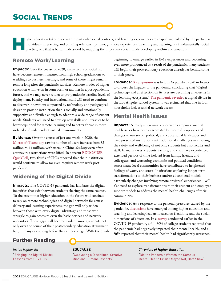## <span id="page-6-0"></span>SOCIAL TRENDS

igher education takes place within particular social contexts, and learning experiences are shaped and colored by the particular individuals interacting and building relationships through those experiences. Teaching and learning is a fundamentally social practice, one that is better understood by mapping the important social trends developing within and around it.

## <span id="page-6-1"></span>Remote Work/Learning

**Impacts:** Over the course of 2020, many facets of social life have become remote in nature, from high school graduations to weddings to business meetings, and some of these might remain remote long after the pandemic subsides. Remote modes of higher education will live on in some form or another in a post-pandemic future, and we may never return to pre-pandemic baseline levels of deployment. Faculty and instructional staff will need to continue to discover innovations supported by technology and pedagogical design to provide instruction that is socially and emotionally supportive and flexible enough to adapt to a wide range of student needs. Students will need to develop new skills and literacies to be better equipped for remote learning and to better thrive in more isolated and independent virtual environments.

**Evidence:** Over the course of just one week in 2020, the [Microsoft Teams app](https://www.theverge.com/2020/4/9/21214314/microsoft-teams-usage-coronavirus-pandemic-work-habit-change) saw its number of users increase from 32 million to 44 million, with users in China *doubling* even after coronavirus restrictions were lifted. In a recent [EDUCAUSE](https://er.educause.edu/blogs/2021/1/educause-quickpoll-results-post-pandemic-plans-for-remote-work) [QuickPoll](https://er.educause.edu/blogs/2021/1/educause-quickpoll-results-post-pandemic-plans-for-remote-work), two-thirds of CIOs reported that their institution would continue to allow (or even require) remote work postpandemic.

## <span id="page-6-2"></span>Widening of the Digital Divide

**Impacts:** The COVID-19 pandemic has laid bare the digital inequities that exist between students sharing the same courses. To the extent that higher education in the future will continue to rely on remote technologies and digital networks for course delivery and learning experiences, the gap will only widen between those with every digital advantage and those who struggle to gain access to even the basic devices and network necessities. These gaps will become evident among students not only over the course of their postsecondary education attainment but, in many cases, long before they enter college. With the divide beginning to emerge earlier in K–12 experiences and becoming even more pronounced as a result of the pandemic, many students will begin their postsecondary education already far behind some of their peers.

**Evidence:** [A symposium](https://muse.edu.umontpellier.fr/2020/09/29/symposium2020/) was held in September 2020 in France to discuss the impacts of the pandemic, concluding that "digital technology and a reflection on its uses are becoming a necessity in the learning ecosystem." [The pandemic revealed](https://laist.com/2020/04/20/coronavirus-digital-divide-map-los-angeles-distance-learning.php?fbclid=IwAR0IRXg3Ow9R0Wmg6wT_P4WhdoSC1Yq0o6sYrFUq0lZc3cuJNcZAyKO7l4Y) a digital divide in the Los Angeles school system: it was estimated that one in four households lack essential network access.

### <span id="page-6-3"></span>Mental Health Issues

**Impacts:** Already a perennial concern on campuses, mental health issues have been exacerbated by recent disruptions and changes to our social, political, and educational landscapes and have presented institutions with additional challenges in ensuring the safety and well-being of not only students but also faculty and staff. In many cases, students, faculty, and staff have experienced extended periods of time isolated from family, friends, and colleagues, and worsening economic and political conditions across many local communities have contributed to heightened feelings of worry and stress. Institutions exploring longer-term transformations to their business and/or educational models particularly changes involving remote or virtual experiences—will also need to explore transformations to their student and employee support models to address the mental health challenges of their communities.

**Evidence:** As a response to the personal pressures caused by the pandemic, [discussions](https://www.veletsianos.com/2020/10/05/radical-flexibility-and-relationality-as-responses-to-education-in-times-of-crisis/) have emerged among higher education and teaching and learning leaders focused on flexibility and the social dimensions of education. In a [survey](https://www.chronicle.com/article/covid-19-has-worsened-the-student-mental-health-crisis-can-resilience-training-fix-it/?cid2=gen_login_refresh&cid=gen_sign_in) conducted earlier in the COVID-19 pandemic, a full 80% of college students reported that the pandemic had negatively impacted their mental health, and a fifth reported that their mental health had significantly worsened.

## Further Reading

*Inside Higher Ed* "[Bridging the Digital Divide:](https://www.insidehighered.com/quicktakes/2021/02/03/inside-higher-ed-report-digital-divide) [Lessons from COVID-19"](https://www.insidehighered.com/quicktakes/2021/02/03/inside-higher-ed-report-digital-divide)

#### EDUCAUSE

"[Cultivating a Disciplined, Creative](https://er.educause.edu/articles/2020/10/cultivating-a-disciplined-creative-mind-and-humane-instincts)  [Mind and Humane Instincts"](https://er.educause.edu/articles/2020/10/cultivating-a-disciplined-creative-mind-and-humane-instincts)

#### *Chronicle of Higher Education*

"[Did the Pandemic Worsen the Campus](https://www.chronicle.com/article/did-the-pandemic-worsen-the-campus-mental-health-crisis-maybe-not-data-show) [Mental-Health Crisis? Maybe Not, Data Show"](https://www.chronicle.com/article/did-the-pandemic-worsen-the-campus-mental-health-crisis-maybe-not-data-show)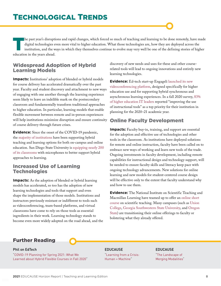<span id="page-7-0"></span>The past year's disruptions and rapid changes, which forced so much of teaching and learning to be done remotely, have made digital technologies even more vital to higher education. What those technologies are, how they are deployed across the institution, and the ways in which they themselves continue to evolve may very well be one of the defining stories of higher education in the years ahead.

### <span id="page-7-1"></span>Widespread Adoption of Hybrid Learning Models

**Impacts:** Institutions' adoption of blended or hybrid models for course delivery has accelerated dramatically over the past year. Faculty and student discovery and attachment to new ways of engaging with one another through the learning experience seem likely to leave an indelible mark on the postsecondary classroom and fundamentally transform traditional approaches to higher education. In particular, learning models that enable flexible movement between remote and in-person experiences will help institutions minimize disruption and ensure continuity of course delivery through future crises.

**Evidence:** Since the onset of the COVID-19 pandemic, the [majority of institutions](https://er.educause.edu/blogs/2020/9/educause-quickpoll-results-fall-readiness-for-teaching-and-learning) have been supporting hybrid teaching and learning options for both on-campus and online education. San Diego State University is [equipping nearly 200](https://campustechnology.com/articles/2021/01/21/san-diego-state-u-upgrades-microphones-for-hybrid-learning.aspx)  [of its classrooms](https://campustechnology.com/articles/2021/01/21/san-diego-state-u-upgrades-microphones-for-hybrid-learning.aspx) with microphones to better support hybrid approaches to learning.

### <span id="page-7-2"></span>Increased Use of Learning **Technologies**

**Impacts:** As the adoption of blended or hybrid learning models has accelerated, so too has the adoption of new learning technologies and tools that support and even shape the implementation of those models. Institutions and instructors previously resistant or indifferent to tools such as videoconferencing, team-based platforms, and virtual classrooms have come to rely on those tools as essential ingredients in their work. Learning technology stands to become even more widely adopted on the road ahead, and the discovery of new needs and uses for these and other courserelated tools will lead to ongoing innovations and entirely new learning technologies.

**Evidence:** Ed-tech start-up Engageli [launched its new](https://www.insidehighered.com/news/2020/10/15/ed-tech-veterans-launch-zoom-challenger-engageli) [videoconferencing platform](https://www.insidehighered.com/news/2020/10/15/ed-tech-veterans-launch-zoom-challenger-engageli), designed specifically for higher education use and for supporting hybrid synchronous and asynchronous learning experiences. In a fall 2020 survey, [83%](https://er.educause.edu/blogs/2020/9/educause-quickpoll-results-fall-readiness-for-teaching-and-learning)  [of higher education IT leaders](https://er.educause.edu/blogs/2020/9/educause-quickpoll-results-fall-readiness-for-teaching-and-learning) reported "improving the use of instructional tools" as a top priority for their institution in planning for the 2020–21 academic year.

## <span id="page-7-3"></span>Online Faculty Development

**Impacts:** Faculty buy-in, training, and support are essential for the adoption and effective use of technologies and other tools in the classroom. As institutions have deployed solutions for remote and online instruction, faculty have been called on to embrace new ways of working and learn new tools of the trade. Ongoing investments in faculty development, including remote capabilities for instructional design and technology support, will be needed to ensure faculty skills and literacy keep pace with ongoing technology advancements. New solutions for online learning and new models for student-centered course design will be effective only to the extent that faculty understand why and how to use them.

**Evidence:** The National Institute on Scientific Teaching and Macmillan Learning have teamed up to offer an [online short](https://www.nisthub.org/)  [course](https://www.nisthub.org/) on scientific teaching. Many campuses (such as [Union](https://www.union.edu/information-technology-services/2020-summer-faculty-development-institute) [College](https://www.union.edu/information-technology-services/2020-summer-faculty-development-institute), [Georgia Southwestern State University,](https://www.gsw.edu/academics/academic-affairs/online-faculty-development) and [Oregon](https://ecampus.oregonstate.edu/faculty/development/teaching-workshops.htm) [State\)](https://ecampus.oregonstate.edu/faculty/development/teaching-workshops.htm) are transitioning their online offerings to faculty or bolstering what they already offered.

## Further Reading

#### Phil on EdTech

"[COVID-19 Planning for Spring 2021: What We](https://philonedtech.com/covid-19-planning-for-spring-2021-what-we-learned) [Learned about Hybrid Flexible Courses in Fall 2020"](https://philonedtech.com/covid-19-planning-for-spring-2021-what-we-learned)

#### EDUCAUSE

["Learning from a Crisis:](https://er.educause.edu/articles/2020/10/learning-from-a-crisis-human-machine)  [Human + Machine](https://er.educause.edu/articles/2020/10/learning-from-a-crisis-human-machine)"

#### EDUCAUSE

["The Landscape of](https://er.educause.edu/articles/2020/10/the-landscape-of-merging-modalities) [Merging Modalities"](https://er.educause.edu/articles/2020/10/the-landscape-of-merging-modalities)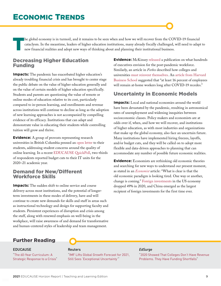<span id="page-8-0"></span>The global economy is in turmoil, and it remains to be seen when and how we will recover from the COVID-19 financial cataclysm. In the meantime, leaders of higher education institutions, many already fiscally challenged, w cataclysm. In the meantime, leaders of higher education institutions, many already fiscally challenged, will need to adapt to new financial realities and adopt new ways of thinking about and planning their institutional business.

### <span id="page-8-1"></span>Decreasing Higher Education Funding

**Impacts:** The pandemic has exacerbated higher education's already troubling financial crisis and has brought to center stage the public debate on the value of higher education generally and on the value of certain models of higher education specifically. Students and parents are questioning the value of remote or online modes of education relative to its cost, particularly compared to in-person learning, and enrollments and revenue across institutions will continue to decline as long as the adoption of new learning approaches is not accompanied by compelling evidence of its efficacy. Institutions that can adapt and demonstrate value in educating their students while controlling tuition will grow and thrive.

**Evidence:** A group of provosts representing research universities in British Columbia penned an [open letter](https://vancouversun.com/opinion/an-open-letter-to-new-and-continuing-university-students-in-british-columbia) to their students, addressing student concerns around the quality of online learning. In a recent [EDUCAUSE QuickPoll,](https://er.educause.edu/blogs/2020/10/educause-quickpoll-results-it-budgets-2020-21) two-thirds of respondents reported budget cuts to their IT units for the 2020–21 academic year.

### <span id="page-8-2"></span>Demand for New/Different Workforce Skills

**Impacts:** The sudden shift to online service and course delivery across most institutions, and the potential of longerterm investments in these modes of delivery, have and will continue to create new demands for skills and staff in areas such as instructional technology and design for supporting faculty and students. Persistent experiences of disruption and crisis among the staff, along with renewed emphasis on well-being in the workplace, will raise awareness of and demand for transformative and human-centered styles of leadership and team management.

**Evidence:** McKinsey [released](https://www.mckinsey.com/featured-insights/future-of-work/what-800-executives-envision-for-the-postpandemic-workforce) a publication on what hundreds of executives envision for the post-pandemic workforce. Similarly, an article in *Forbes* described how colleges and universities [must reinvent themselves.](https://www.forbes.com/sites/glennllopis/2020/10/17/post-pandemic-how-must-colleges-and-universities-reinvent-themselves/) An [article from Harvard](https://hbswk.hbs.edu/item/how-much-will-remote-work-continue-after-the-pandemic)  [Business School](https://hbswk.hbs.edu/item/how-much-will-remote-work-continue-after-the-pandemic) suggested that "at least 16 percent of employees will remain at-home workers long after COVID-19 recedes."

## <span id="page-8-3"></span>Uncertainty in Economic Models

**Impacts:** Local and national economies around the world have been devastated by the pandemic, resulting in astronomical rates of unemployment and widening inequities between socioeconomic classes. Policy makers and economists are at odds over if, when, and how we will recover, and institutions of higher education, as with most industries and organizations that make up the global economy, also face an uncertain future. Many institutions have implemented hiring freezes, layoffs, and/or budget cuts, and they will be called on to adopt more flexible and data-driven approaches to planning that can accommodate any number of possible future economic realities.

**Evidence:** Economists are rethinking old economic theories and searching for new ways to understand our present moment, as stated in an *[Economist](https://www.economist.com/briefing/2020/07/25/the-covid-19-pandemic-is-forcing-a-rethink-in-macroeconomics)* article: "What is clear is that the old economic paradigm is looking tired. One way or another, change is coming." [Foreign investments](https://www.forbes.com/sites/sarahhansen/2021/01/24/china-passes-us-as-no-1-destination-for-foreign-investment-as-coronavirus-upends-global-economy/?sh=5b09c6171252) in the US economy dropped 49% in 2020, and China emerged as the largest recipient of foreign investments for the first time ever.

## Further Reading

#### EDUCAUSE

"[The 60-Year Curriculum: A](https://er.educause.edu/articles/2020/10/the-60-year-curriculum-a-strategic-response-to-a-crisis) [Strategic Response to a Crisis"](https://er.educause.edu/articles/2020/10/the-60-year-curriculum-a-strategic-response-to-a-crisis)

#### Reuters

["IMF Lifts Global Growth Forecast for 2021,](https://www.reuters.com/article/us-imf-outlook/imf-lifts-global-growth-forecast-for-2021-still-sees-exceptional-uncertainty-idUSKBN29V1GX) [Still Sees 'Exceptional Uncertainty'"](https://www.reuters.com/article/us-imf-outlook/imf-lifts-global-growth-forecast-for-2021-still-sees-exceptional-uncertainty-idUSKBN29V1GX)

#### *EdSurge*

["2020 Showed That Colleges Don't Have Revenue](https://www.edsurge.com/news/2020-12-30-2020-showed-that-colleges-don-t-have-revenue-problems-they-have-funding-shortfalls)  [Problems. They Have Funding Shortfalls"](https://www.edsurge.com/news/2020-12-30-2020-showed-that-colleges-don-t-have-revenue-problems-they-have-funding-shortfalls)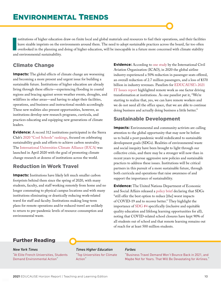<span id="page-9-0"></span>I nstitutions of higher education draw on finite local and global materials and resources to fuel their operations, and their facilities leave sizable imprints on the environments around them. The need to adopt sustainable practices across the board, far too often overlooked in the planning and doing of higher education, will be inescapable in a future more concerned with climate stability and environmental sustainability.

## <span id="page-9-1"></span>Climate Change

**Impacts:** The global effects of climate change are worsening and becoming a more present and urgent issue for building a sustainable future. Institutions of higher education are already living through these effects—experiencing flooding in coastal regions and bracing against severe weather events, droughts, and wildfires in other areas—and having to adapt their facilities, operations, and business and instructional models accordingly. These new realities also present opportunities, however, as institutions develop new research programs, curricula, and practices educating and equipping new generations of climate leaders.

**Evidence:** A record 312 institutions participated in the Sierra Club's [2020 "Cool Schools" rankings,](https://www.sierraclub.org/sierra/cool-schools-2020/top-20-coolest-schools-2020) focused on celebrating sustainability goals and efforts to achieve carbon neutrality. The [International Universities Climate Alliance \(IUCA\)](https://www.insidehighered.com/news/2020/04/03/universities-form-global-network-climate-change) was launched in April 2020 with the goal of promoting climate change research at dozens of institutions across the world.

## <span id="page-9-2"></span>Reduction in Work Travel

**Impacts:** Institutions have likely left much smaller carbon footprints behind them since the spring of 2020, with many students, faculty, and staff working remotely from home and no longer commuting to physical campus locations and with many institutions eliminating or drastically reducing work-related travel for staff and faculty. Institutions making long-term plans for remote operations and/or reduced travel are unlikely to return to pre-pandemic levels of resource consumption and environmental waste.

**Evidence:** According to [one study](https://www.icao.int/sustainability/Documents/Covid-19/ICAO_coronavirus_Econ_Impact.pdf) by the International Civil Aviation Organization (ICAO), in 2020 the global airline industry experienced a 50% reduction in passenger seats offered, an overall reduction of 2.7 million passengers, and a loss of \$370 billion in industry revenues. Panelists for [EDUCAUSE's 2021](https://er.educause.edu/articles/2020/11/top-it-issues-2021-emerging-from-the-pandemic)  [IT Issues report](https://er.educause.edu/articles/2020/11/top-it-issues-2021-emerging-from-the-pandemic) highlighted remote work as one factor driving transformation at institutions. As one panelist put it, "We're starting to realize that, yes, we can have remote workers and we do not need all the office space, that we are able to continue doing business and actually doing business a little better."

## <span id="page-9-3"></span>Sustainable Development

**Impacts:** Environmental and community activists are calling attention to the global opportunity that may now be before us to build a post-pandemic world rededicated to sustainable development goals (SDGs). Realities of environmental waste and social inequity have been brought to light through our collective crisis, and there may be a stronger will now than in recent years to pursue aggressive new policies and sustainable practices to address these issues. Institutions will be critical partners in this pursuit of a more sustainable future, through both curricula and operations that raise awareness of and support the importance of sustainability.

**Evidence:** The United Nations Department of Economic and Social Affairs released a [policy brief](https://www.un.org/en/desa/sdgs-still-offer-best-option-reduce-worst-impacts-covid-19-and-recover-better) declaring that SDGs "still offer the best option to reduce [the] worst impacts of COVID-19 and to recover better." They highlight the importance of [SDG #4](https://sdgs.un.org/goals/goal4) specifically (inclusive and equitable quality education and lifelong learning opportunities for all), noting that COVID-related school closures have kept 90% of all students out of school and that remote learning remains out of reach for at least 500 million students.

## Further Reading

*New York Times* ["At Elite French Universities, Students](https://www.nytimes.com/2021/01/30/world/europe/france-elite-universities-environment.html) [Demand Environmental Action](https://www.nytimes.com/2021/01/30/world/europe/france-elite-universities-environment.html)"

*Times Higher Education* ["Top Universities for Climate](https://www.timeshighereducation.com/student/best-universities/top-universities-climate-action) [Action"](https://www.timeshighereducation.com/student/best-universities/top-universities-climate-action)

#### *Forbes*

["Business Travel Demand Won't Bounce Back in 2021, and](https://www.forbes.com/sites/danielreed/2020/10/07/down-70-from-last-year-business-travel-demand-wont-bounce-back-in-2021-and-maybe-not-for-years/)  [Maybe Not for Years. That Will Be Devastating for Airlines."](https://www.forbes.com/sites/danielreed/2020/10/07/down-70-from-last-year-business-travel-demand-wont-bounce-back-in-2021-and-maybe-not-for-years/)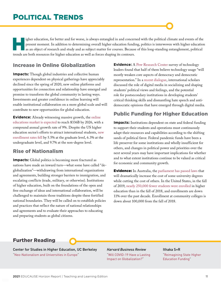<span id="page-10-0"></span>igher education, for better and for worse, is always entangled in and concerned with the political climate and events of the present moment. In addition to determining overall higher education funding, politics is interwov present moment. In addition to determining overall higher education funding, politics is interwoven with higher education as an object of research and study and as subject matter for courses. Because of this long-standing entanglement, political trends are both resources for higher education as well as forces shaping its contours.

## <span id="page-10-1"></span>Increase in Online Globalization

**Impacts:** Though global industries and collective human experiences dependent on physical gatherings have appreciably declined since the spring of 2020, new online platforms and opportunities for connection and relationship have emerged and promise to transform the global community in lasting ways. Investments and greater confidence in online learning will enable institutional collaboration on a more global scale and will contribute to new opportunities for global education.

**Evidence:** Already witnessing massive growth, the [online](https://www.guide2research.com/research/online-education-statistics#TOC1)  [educations market is expected](https://www.guide2research.com/research/online-education-statistics#TOC1) to reach \$336B by 2026, with a compound annual growth rate of 9%. Despite the US higher education sector's efforts to attract international students, [new](https://financesonline.com/trends-in-higher-education/)  [enrollment rates fell](https://financesonline.com/trends-in-higher-education/) by 5.5% at the graduate level, 6.3% at the undergraduate level, and 9.7% at the non-degree level.

## <span id="page-10-2"></span>Rise of Nationalism

**Impacts:** Global politics is becoming more fractured as nations have made an inward turn—what some have called "deglobalization"—withdrawing from international organizations and agreements, building stronger barriers to immigration, and escalating conflicts (trade, military, or otherwise). Institutions of higher education, built on the foundations of the open and free exchange of ideas and international collaboration, will be challenged to maintain those traditions despite these fortified national boundaries. They will be called on to establish policies and practices that reflect the nature of national relationships and agreements and to evaluate their approaches to educating and preparing students as global citizens.

**Evidence:** A [Pew Research Center](https://www.pewresearch.org/internet/2020/02/21/concerns-about-democracy-in-the-digital-age/) survey of technology leaders found that half of them believe technology usage "will mostly weaken core aspects of democracy and democratic representation." In a [recent dialogue](https://www.researchgate.net/publication/343236828_The_Educational_Implications_of_Populism_Emotions_and_Digital_Hate_Speech_A_Dialogue_with_Scholars_from_Canada_Chile_Spain_the_UK_and_the_US), international scholars discussed the role of digital media in socializing and shaping students' political views and feelings, and the potential role for postsecondary institutions in developing students' critical thinking skills and dismantling hate speech and antidemocratic opinions that have emerged through digital media.

## <span id="page-10-3"></span>Public Funding for Higher Education

**Impacts:** Institutions dependent on state and federal funding to support their students and operations must continuously adapt their resources and capabilities according to the shifting sands of political favor. Federal pandemic funds have been a life preserver for some institutions and wholly insufficient for others, and changes in political power and priorities over the next several years may have important implications for whether and to what extent institutions continue to be valued as critical for economic and community growth.

**Evidence:** In Australia, the [parliament has passed laws](https://www.smh.com.au/politics/federal/university-fees-are-changing-how-will-it-affect-you-20201009-p563ib.html) that will dramatically increase the cost of some university degrees while cutting the cost of others. In the United States, in the fall of 2019, [nearly 250,000 fewer students were enrolled](https://www.npr.org/2019/12/16/787909495/fewer-students-are-going-to-college-heres-why-that-matters) in higher education than in the fall of 2018, and enrollments are down 11% over the past decade. Enrollment at community colleges is down about 100,000 from the fall of 2018.

## Further Reading

Center for Studies in Higher Education, UC Berkeley "[Neo-Nationalism and Universities in Europe"](https://cshe.berkeley.edu/publications/neo-nationalism-and-universities-europe-marijk-van-der-wende-cshe-720-june-2020)

*Harvard Business Review* ["Will COVID-19 Have a Lasting](https://hbr.org/2020/05/will-covid-19-have-a-lasting-impact-on-globalization) [Impact on Globalization?](https://hbr.org/2020/05/will-covid-19-have-a-lasting-impact-on-globalization)"

#### Ithaka S+R

["Reimagining State Higher](https://sr.ithaka.org/publications/reimagining-state-higher-education-funding/) [Education Funding](https://sr.ithaka.org/publications/reimagining-state-higher-education-funding/)"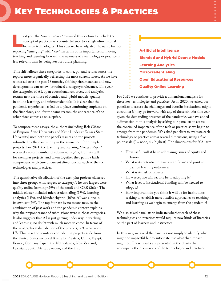<span id="page-11-0"></span>ast year the *Horizon Report* renamed this section to include the concept of practices as a counterbalance to a single-dimensional focus on technologies. This year we have adjusted the name further, concept of practices as a counterbalance to a single-dimensional replacing "emerging" with "key." In terms of its importance for moving teaching and learning forward, the newness of a technology or practice is less relevant than its being key for future planning.

This shift allows these categories to come, go, and return across the reports more organically, reflecting the most current issues. As we have witnessed over the past 18 months, shifting circumstances and new developments can renew (or reduce) a category's relevance. This year, the categories of AI, open educational resources, and analytics return; new are those of blended and hybrid models, quality in online learning, and microcredentials. It is clear that the pandemic experience has led us to place continuing emphasis on the first three, and, for the same reason, the appearance of the other three comes as no surprise.

To compose these essays, the authors (including Rob Gibson of Emporia State University and Katie Linder at Kansas State University) used both the panel's results and the projects submitted by the community in the annual call for exemplar projects. For 2021, the teaching and learning *Horizon Report* received a record number of submissions (255) from its call for exemplar projects, and taken together they paint a fairly comprehensive picture of current directions for each of the six technologies and practices.

The quantitative distribution of the exemplar projects clustered into three groups with respect to category. The two largest were quality online learning (29% of the total) and OER (26%). The middle cluster included microcredentialing (17%), learning analytics (11%), and blended/hybrid (10%). AI was alone in its own set (7%). The top four are by no means new, so the combination of past work and the pandemic context explains why the preponderance of submissions were in those categories. It also suggests that AI is just getting under way in teaching and learning, no doubt with much more to come. In terms of the geographical distribution of the projects, 33% were non-US. This year the countries contributing projects aside from the United States included Australia, Austria, China, Egypt, France, Germany, Japan, the Netherlands, New Zealand, Pakistan, South Africa, Sweden, and the UK.

## [Artificial Intelligence](#page-12-0) [Blended and Hybrid Course Models](#page-15-0) [Learning Analytics](#page-18-0) [Microcredentialing](#page-21-0) [Open Educational Resources](#page-24-0) [Quality Online Learning](#page-27-0)

For 2021 we continue to provide a dimensional analysis for these key technologies and practices. As in 2020, we asked our panelists to assess the challenges and benefits institutions might encounter if they go forward with any of these six. For this year, given the demanding presence of the pandemic, we have added a dimension to this analysis by asking our panelists to assess the continued importance of the tech or practice as we begin to emerge from the pandemic. We asked panelists to evaluate each technology or practice across several dimensions, using a fivepoint scale  $(0 = none, 4 = highest)$ . The dimensions for 2021 are:

- How useful will it be in addressing issues of equity and inclusion?
- What is its potential to have a significant and positive impact on learning outcomes?
- What is its risk of failure?
- How receptive will faculty be to adopting it?
- What level of institutional funding will be needed to adopt it?
- How important do you think it will be for institutions seeking to establish more flexible approaches to teaching and learning as we begin to emerge from the pandemic?

We also asked panelists to indicate whether each of these technologies and practices would require new kinds of literacies on the part of learners and instructors.

In this way, we asked the panelists not simply to identify what might be impactful but to anticipate just what that impact might be. These results are presented in the charts that accompany the discussions of the technologies and practices.

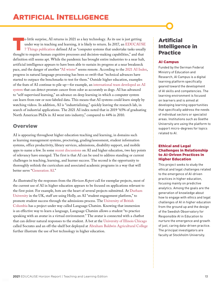<span id="page-12-0"></span>o little surprise, AI returns in 2021 as a key technology. As its use is just getting under way in teaching and learning, it is likely to return. In 2017, an EDUCAUS 7 Things publication defined AI as "computer systems tha under way in teaching and learning, it is likely to return. In 2017, an [EDUCAUSE](https://library.educause.edu/resources/2017/4/7-things-you-should-know-about-artificial-intelligence-in-teaching-and-learning)  [7 Things publication](https://library.educause.edu/resources/2017/4/7-things-you-should-know-about-artificial-intelligence-in-teaching-and-learning) defined AI as "computer systems that undertake tasks usually thought to require human cognitive processes and decision-making capabilities," and that definition still seems apt. While the pandemic has brought entire industries to a near halt, artificial intelligence appears to have been able to sustain its progress at a near breakneck pace, and the danger of another ["AI winter"](https://en.wikipedia.org/wiki/AI_winter) seems remote. According to the [2021 AI Index](https://hai.stanford.edu/research/ai-index-2021), progress in natural language processing has been so swift that "technical advances have started to outpace the benchmarks to test for them." Outside higher education, examples of the feats of AI continue to pile up—for example, an [international team developed an AI](https://www.scientificamerican.com/article/ai-system-can-sniff-out-disease-as-well-as-dogs-do/) [system](https://www.scientificamerican.com/article/ai-system-can-sniff-out-disease-as-well-as-dogs-do/) that can detect prostate cancer from odor as accurately as dogs. AI has advanced to "self-supervised learning," an advance on deep learning in which a computer system can learn from raw or non-labeled data. This means that AI systems could learn simply by watching videos. In addition, AI is "industrializing," quickly leaving the research lab, in search of industrial applications. The 2021 AI index noted that in 2019 "65% of graduating North American PhDs in AI went into industry," compared to 44% in 2010.

## **Overview**

AI is appearing throughout higher education teaching and learning, in domains such as learning management systems, proctoring, grading/assessment, student information systems, office productivity, library services, admissions, disability support, and mobile apps to name a few. In some [recent discussions](https://knowledgeillusion.blog/2019/04/30/ai-and-education-the-reality-and-the-potential/) on AI and higher education, two key points of relevancy have emerged. The first is that AI can be used to address standing or current challenges in teaching, learning, and learner success. The second is the opportunity to thoroughly rethink the curriculum and associated academic programs in a way that will better serve "[Generation AI](https://transmitter.ieee.org/artificial-intelligence-will-affect-next-generation/)."

As illustrated by the responses from the *Horizon Report* call for exemplar projects, most of the current use of AI in higher education appears to be focused on applications relevant to the first point. For example, bots are the heart of several projects submitted. At [Durham](https://www.dur.ac.uk/study/askus/holly/)  [University](https://www.dur.ac.uk/study/askus/holly/) in the UK, staff are using Holly, an AI "student engagement platform," to promote student success through the admissions process. The [University of British](https://eml.ubc.ca/projects/language-chatsim/)  [Columbia](https://eml.ubc.ca/projects/language-chatsim/) has a project under way called Language Chatsim. Knowing that immersion is an effective way to learn a language, Language Chatsim allows a student "to practice speaking with an avatar in a virtual environment." The avatar is connected with a chatbot that can deliver natural responses to the student. A bot at the [University of Illinois Chicago](https://it.uic.edu/news-stories/introducing-socrates-support-chatbot-available-on-blackboard/) called Socrates and an off-the-shelf bot deployed at [Abraham Baldwin Agricultural College](https://www.abac.edu/ask-thunder/) further illustrate the use of bot technology in higher education.

## Artificial Intelligence in Practice

#### [AI Campus](https://ki-campus.org/?locale=en)

Funded by the German Federal Ministry of Education and Research, AI Campus is a digital learning platform specifically geared toward the development of AI skills and competencies. The learning environment is focused on learners and is aimed at developing learning opportunities that specifically address the needs of individual sectors or specialist areas. Institutions such as Goethe University are using the platform to support micro-degrees for topics related to AI.

#### [Ethical and Legal](https://wasp-hs.org/projects/ethical-and-legal-challenges-in-relationship-to-ai-driven-practices-in-higher-education/)  [Challenges in Relationship](https://wasp-hs.org/projects/ethical-and-legal-challenges-in-relationship-to-ai-driven-practices-in-higher-education/)  [to AI-Driven Practices in](https://wasp-hs.org/projects/ethical-and-legal-challenges-in-relationship-to-ai-driven-practices-in-higher-education/) [Higher Education](https://wasp-hs.org/projects/ethical-and-legal-challenges-in-relationship-to-ai-driven-practices-in-higher-education/)

This project seeks to study the ethical and legal challenges related to the emergence of AI-driven practices in higher education, focusing mainly on predictive analytics. Among the goals are the generation of knowledge about how to engage with ethics and legal challenges of AI in higher education from the ground up and the design of the Swedish Observatory for Responsible AI in Education to nurture the emergence and growth of just, caring data-driven practice. The principal investigators are faculty at Stockholm University.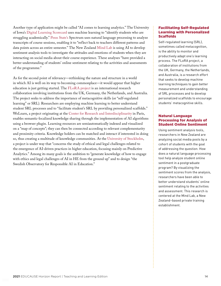Another type of application might be called "AI comes to learning analytics." The University of Iowa's [Digital Learning Scorecard](https://teach.uiowa.edu/digital-learning-scorecard) uses machine learning to "identify students who are struggling academically." [Penn State's](https://tlt.psu.edu/spectrum/) Spectrum uses natural language processing to analyze transcripts of course sessions, enabling it to "reflect back to teachers different patterns and data points across an entire semester." The New Zealand [Mind Lab](https://ojs.aut.ac.nz/pjtel/article/view/4) is using AI to develop sentiment analysis tools to investigate the attitudes and emotions of students when they are interacting on social media about their course experience. These analyses "have provided a better understanding of students' online sentiment relating to the activities and assessments of the programme."

As for the second point of relevancy—rethinking the nature and structure in a world in which AI is well on its way to becoming commonplace—it would appear that higher education is just getting started. The [FLoRA project](https://floralearn.org/) is an international research collaboration involving institutions from the UK, Germany, the Netherlands, and Australia. The project seeks to address the importance of metacognitive skills (or "self-regulated learning" or SRL). Researchers are employing machine learning to better understand student SRL processes and to "facilitate student's SRL by providing personalized scaffolds." WeLearn, a project originating at the [Center for Research and Interdisciplinarity](https://projects.cri-paris.org/projects/Jq2tzEMD/summary) in Paris, enables semantic-localized knowledge sharing through the implementation of AI algorithms using a browser plugin. Learning resources are semiautomatically indexed and visualized on a "map of concepts"; they can then be connected according to relevant complementarity and proximity criteria. Knowledge holders can be matched and interact if interested in doing so, thus creating a multitude of knowledge communities. At the [University of Stockholm,](https://wasp-hs.org/projects/ethical-and-legal-challenges-in-relationship-to-ai-driven-practices-in-higher-education/) a project is under way that "concerns the study of ethical and legal challenges related to the emergence of AI-driven practices in higher education, focusing mainly on Predictive Analytics." Among its many goals is the ambition to "generate knowledge of how to engage with ethics and legal challenges of AI in HE from the ground up" and to design "the Swedish Observatory for Responsible AI in Education."

#### [Facilitating Self-Regulated](https://floralearn.org/) [Learning with Personalized](https://floralearn.org/) [Scaffolds](https://floralearn.org/)

Self-regulated learning (SRL), sometimes called metacognition, is the ability to monitor and productively adapt one's learning process. The FLoRA project, a collaboration of institutions from the UK, Germany, the Netherlands, and Australia, is a research effort that seeks to develop machine learning techniques to gain better measurement and understanding of SRL processes and to develop personalized scaffolds to encourage students' metacognitive skills.

#### [Natural Language](https://themindlab.ac.nz/) [Processing for Analysis of](https://themindlab.ac.nz/) [Student Online Sentiment](https://themindlab.ac.nz/)

Using sentiment analysis tools, researchers in New Zealand are analyzing social media posts by a cohort of students with the goal of addressing the question: How does a natural language processing tool help analyze student online sentiment in a postgraduate program? By visualizing the sentiment scores from the analysis, researchers have been able to better understand students' online sentiment relating to the activities and assessment. This research is centered at the Mind Lab, a New Zealand–based private training establishment.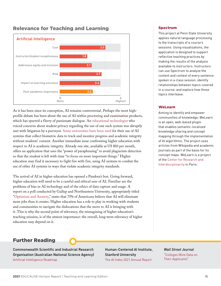

## Relevance for Teaching and Learning

As it has been since its conception, AI remains controversial. Perhaps the most highprofile debate has been about the use of AI within proctoring and examination products, which has spurred a flurry of passionate dialogue. An [educational technologist](https://www.theverge.com/2020/10/22/21526792/proctorio-online-test-proctoring-lawsuit-universities-students-coronavirus) who voiced concerns about student privacy regarding the use of one such system was abruptly met with litigation by a purveyor. [Some universities have been sued](https://edscoop.com/northwestern-university-biometrics-privacy/) for their use of AI systems that collect biometric data to track and monitor progress and academic integrity without students' consent. Another immediate issue confronting higher education with respect to AI is academic integrity. Already one site, available at US \$10 per month, offers an application that uses the "power of paraphrasing" to avoid plagiarism detection so that the student is left with time "to focus on more important things." Higher education may find it necessary to fight fire with fire, using AI systems to combat the use of other AI systems in ways that violate academic integrity standards.

The arrival of AI in higher education has opened a Pandora's box. Going forward, higher education will need to be a careful and ethical user of AI. Familiar are the problems of bias in AI technology and of the ethics of data capture and usage. A report on a poll conducted by Gallup and Northeastern University, appropriately titled "[Optimism and Anxiety,](https://www.northeastern.edu/visualization/allprojects/optimism-and-anxiety-views-on-the-impact-of-artificial-intelligence-and-higher-educations-response/)" states that 75% of Americans believe that AI will eliminate more jobs than it creates. Higher education has a role to play in working with students and communities to navigate the dislocations that the move to AI is bringing with it. This is why the second point of relevancy, the reimagining of higher education's teaching mission, is of the utmost importance: the overall, long-term relevancy of higher education may depend on it.

#### [Spectrum](https://tlt.psu.edu/spectrum/)

This project at Penn State University applies natural language processing to the transcripts of a course's sessions. Using visualizations, the application is designed to support reflective teaching practices by making the results of the analysis available to instructors. Instructors can use Spectrum to analyze the content and context of every sentence spoken in a class session, identify relationships between topics covered in a course, and explore how those topics interleave.

#### [WeLearn](https://projects.cri-paris.org/projects/Jq2tzEMD/summary)

Aiming to identify and empower communities of knowledge, WeLearn is an open, web-based plugin that enables semantic-localized knowledge sharing and concept mapping through the implementation of AI algorithms. The project uses articles from Wikipedia and academic journals as part of the basis for its concept maps. WeLearn is a project of the [Center for Research and](https://www.cri-paris.org/en)  [Interdisciplinarity](https://www.cri-paris.org/en) in Paris.

## Further Reading

Commonwealth Scientific and Industrial Research Organisation (Australian National Science Agency) [Artificial Intelligence Roadmap](https://data61.csiro.au/en/Our-Research/Our-Work/AI-Roadmap)

Human-Centered AI Institute, Stanford University [The AI Index 2021 Annual Report](https://hai.stanford.edu/research/ai-index-2021)

*Wall Street Journal* ["Colleges Mine Data on](https://www.wsj.com/articles/the-data-colleges-collect-on-applicants-11548507602) [Their Applicants"](https://www.wsj.com/articles/the-data-colleges-collect-on-applicants-11548507602)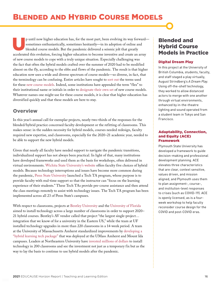## <span id="page-15-0"></span>BLENDED AND HYBRID COURSE MODELS

p until now higher education has, for the most part, been evolving its way forward sometimes enthusiastically, sometimes hesitantly—in its adoption of online and blended course models. But the pandemic delivered a seismic jolt that greatly accelerated this evolution, forcing higher education to become inventive and create an array of new course models to cope with a truly unique situation. Especially challenging was the fact that often the hybrid models crafted over the summer of 2020 had to be modified almost on the fly, according to the ebbs and flows of the pandemic. The result is that higher education now uses a wide and diverse spectrum of course models—so diverse, in fact, that the terminology can be confusing. Entire articles have sought to [sort out](https://er.educause.edu/articles/2020/9/bichronous-online-learning-blending-asynchronous-and-synchronous-online-learning) the terms used for these [new course models.](https://er.educause.edu/articles/2020/10/the-landscape-of-merging-modalities) Indeed, some institutions have appended the term "flex" to their institutional name or initials in order to [designate their own set](https://www.chronicle.com/article/colleges-say-hybrid-courses-will-make-the-fall-a-success-but-will-students-get-the-worst-of-both-worlds) of new course models. Whatever names one might use for these course models, it is clear that higher education has diversified quickly and that these models are here to stay.

### **Overview**

In this year's annual call for exemplar projects, nearly two-thirds of the responses for the blended/hybrid practice concerned faculty development or the refitting of classrooms. This makes sense: in the sudden necessity for hybrid models, courses needed redesign, faculty required new expertise, and classrooms, especially for the 2020–21 academic year, needed to be able to support the new hybrid models.

Given that nearly all faculty have needed support to navigate the pandemic transitions, individualized support has not always been practical. In light of that, many institutions have developed frameworks and used them as the basis for workshops, often delivered in virtual environments. [Wichita State University's website](https://www.wichita.edu/services/mrc/OIR/Design/Hybrid/index.php) offers faculty five choices of hybrid models. Because technology interruptions and issues have become more common during the pandemic, [Penn State University](https://techtutors.psu.edu/tech-ta-forms/) launched a Tech TA program, whose purpose is to provide faculty with real-time support so that the instructor can "focus on the learning experience of their students." These Tech TAs provide pre-course assistance and then attend the class meetings remotely to assist with technology issues. The Tech TA program has been implemented across all 23 of Penn State's campuses.

With respect to classrooms, projects at [Bentley University](https://www.bentley.edu/atc/hybrid-classroom-project) and the [University of Florida](https://citt.ufl.edu/resources/teaching-in-a-classroom-with-hyflex/) aimed to install technology across a large number of classrooms in order to support 2020– 21 hybrid courses. Bentley's AV vendor called that project "the largest single-project… integration that we know of for a university in the Eastern US," while the team at UF installed technology upgrades in more than 220 classrooms in a 14-week period. A team at the University of Massachusetts Amherst standardized improvements by [developing a](https://www.umass.edu/chancellor/flexible-learning)  ["hybrid learning tech package"](https://www.umass.edu/chancellor/flexible-learning) that was deployed at the UMass Amherst and Mount Ida campuses. Leaders at Northeastern University have [invested millions of dollars](https://www.chronicle.com/article/colleges-say-hybrid-courses-will-make-the-fall-a-success-but-will-students-get-the-worst-of-both-worlds) to install technology in 200 classrooms and see the investment not just as a temporary fix but as the way to lay the basis to continue to use hybrid models after the pandemic.

## Blended and Hybrid Course Models in Practice

#### [Digital Dream Play](http://eml.ubc.ca/projects/digital-dream-play/)

In this project at the University of British Columbia, students, faculty, and staff staged a play virtually, August Strindberg's *A Dream Play*. Using off-the-shelf technology, they worked to allow distanced actors to merge with one another through virtual environments, enhanced by in-the-theatre lighting and sound operated from a student team in Tokyo and San Francisco.

#### [Adaptability, Connection,](https://colab.plymouthcreate.net/ACE/)  [and Equity \(ACE\)](https://colab.plymouthcreate.net/ACE/) [Framework](https://colab.plymouthcreate.net/ACE/)

Plymouth State University has developed a framework to guide decision-making and professional development planning. ACE elevates three characteristics that are clear, context sensitive, values driven, and mission aligned, and Plymouth uses them to plan assignment-, course-, and institution-level responses to crises (such as COVID-19). ACE is openly licensed, as is a fourweek workshop to help faculty reconsider course design for the COVID and post-COVID eras.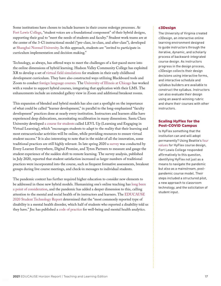Some institutions have chosen to include learners in their course redesign processes. At [Fort Lewis College,](https://nam11.safelinks.protection.outlook.com/?url=https%3A%2F%2Fwww.dropbox.com%2Fs%2Fjisofbwfwa5tbj9%2FFLC%2520HyFlex%2520DE%2520Initiative%2520%2528live%2520link%2529.pdf%3Fdl%3D0&data=04%7C01%7C%7C2b06ef0152694acbb40508d8f855ff93%7Cdd4b037fe626495db0170cc0f7dddb37%7C0%7C0%7C637532395541081991%7CUnknown%7CTWFpbGZsb3d8eyJWIjoiMC4wLjAwMDAiLCJQIjoiV2luMzIiLCJBTiI6Ik1haWwiLCJXVCI6Mn0%3D%7C1000&sdata=%2B9A%2Fe6L0O9wXXBWQa9QVDHaUl4c%2F6vnBXI1Y7r44mDE%3D&reserved=0) "student voices are a foundational component" of their hybrid designs, supporting their goal to "meet the needs of students and faculty." Student work teams are at the center of the 3-Cl instructional model ("pre-class, in-class, and after-class"), developed at [Shanghai Normal University.](https://ajet.org.au/index.php/AJET/article/view/6330) In this approach, students are "invited to participate in curriculum implementation and decision making."

Technology, as always, has offered ways to meet the challenges of a fast-paced move into the online dimensions of hybrid learning. Hudson Valley Community College has exploited XR to develop a set of [virtual field simulations](https://hvcc0-my.sharepoint.com/:w:/g/personal/e_yanoff_hvcc_edu/ETrQDjcC46hKnX0DmCtzuCoBByR_gNan_1jaDwTQ65_Eiw?rtime=ftKrkHjw2Eg) for students in their early childhood development curriculum. They have also constructed ways utilizing Blackboard tools and Zoom to conduct [foreign language courses](https://www.hvcc.edu/dept-academic/business-liberalarts/english-foreign-languages-english-second-language/index.html). The [University of Illinois at Chicago](https://today.uic.edu/acadly-enterprise-pilot-program) has worked with a vendor to support hybrid courses, integrating that application with their LMS. The enhancements include an extended gallery view in Zoom and additional breakout rooms.

This expansion of blended and hybrid models has also cast a spotlight on the importance of what could be called "learner development," in parallel to the long-emphasized "faculty development" practices done at nearly every institution. Instructors and learners alike have experienced deep dislocations, necessitating recalibration in many dimensions. Santa Clara University developed [a course for students](https://www.scu.edu/news-and-events/press-releases/2020/october-2020/new-course-helps-scu-students-with-the-transition-to-fully-remote-learning.html) called LEVL Up (Learning and Engaging in Virtual Learning), which "encourages students to adapt to the reality that their learning and most extracurricular activities will be online, while providing resources to ensure virtual student success." It is also interesting to note that in the midst of all the innovation, some traditional practices are still highly relevant. In late spring 2020 a [survey](https://www.everylearnereverywhere.org/resources/suddenly-online-national-undergraduate-survey/) was conducted by Every Learner Everywhere, Digital Promise, and Tyton Partners to measure and gauge the student experience of the sudden shift to remote learning. The survey analysis, published in July 2020, reported that student satisfaction increased as larger numbers of traditional practices were incorporated into the course, such as frequent formative assessments, breakout groups during live course meetings, and check-in messages to individual students.

The pandemic context has further required higher education to consider new elements to be addressed in these new hybrid models. Humanizing one's online teaching has [long been](https://www.edsurge.com/news/2016-04-27-how-to-keep-the-human-element-in-online-classes)  [a point of consideration](https://www.edsurge.com/news/2016-04-27-how-to-keep-the-human-element-in-online-classes), and the pandemic has added a deeper dimension to this, calling attention to the mental and social health of its instructors and learners. The [EDUCAUSE](https://www.educause.edu/ecar/research-publications/student-technology-report-supporting-the-whole-student/2020/accessibility-and-accommodations)  [2020 Student Technology Report](https://www.educause.edu/ecar/research-publications/student-technology-report-supporting-the-whole-student/2020/accessibility-and-accommodations) determined that the "most commonly reported type of disability is a mental health disorder, which half of students who reported a disability told us they have." Jisc has published a [code of practice](https://www.jisc.ac.uk/guides/code-of-practice-for-wellbeing-and-mental-health-analytics) for well-being and mental health analytics.

#### [c3Design](https://cte.virginia.edu/programs-grants/c3design)

The University of Virginia created c3Design, an interactive online learning environment designed to guide instructors through the iterative, dynamic, and scholarly process of backward-integrated course design. As instructors progress in the design process, c3Design collects their design decisions using interactive forms, and interactive schedule and syllabus builders are available to construct the syllabus. Instructors can also evaluate their design using an award-winning rubric and share their courses with other instructors.

#### [Scaling HyFlex for the](https://nam11.safelinks.protection.outlook.com/?url=https%3A%2F%2Fwww.dropbox.com%2Fs%2Fjisofbwfwa5tbj9%2FFLC%2520HyFlex%2520DE%2520Initiative%2520%2528live%2520link%2529.pdf%3Fdl%3D0&data=04%7C01%7C%7C2b06ef0152694acbb40508d8f855ff93%7Cdd4b037fe626495db0170cc0f7dddb37%7C0%7C0%7C637532395541081991%7CUnknown%7CTWFpbGZsb3d8eyJWIjoiMC4wLjAwMDAiLCJQIjoiV2luMzIiLCJBTiI6Ik1haWwiLCJXVCI6Mn0%3D%7C1000&sdata=%2B9A%2Fe6L0O9wXXBWQa9QVDHaUl4c%2F6vnBXI1Y7r44mDE%3D&reserved=0) [Post-COVID Campus](https://nam11.safelinks.protection.outlook.com/?url=https%3A%2F%2Fwww.dropbox.com%2Fs%2Fjisofbwfwa5tbj9%2FFLC%2520HyFlex%2520DE%2520Initiative%2520%2528live%2520link%2529.pdf%3Fdl%3D0&data=04%7C01%7C%7C2b06ef0152694acbb40508d8f855ff93%7Cdd4b037fe626495db0170cc0f7dddb37%7C0%7C0%7C637532395541081991%7CUnknown%7CTWFpbGZsb3d8eyJWIjoiMC4wLjAwMDAiLCJQIjoiV2luMzIiLCJBTiI6Ik1haWwiLCJXVCI6Mn0%3D%7C1000&sdata=%2B9A%2Fe6L0O9wXXBWQa9QVDHaUl4c%2F6vnBXI1Y7r44mDE%3D&reserved=0)

Is HyFlex something that the institution can and will adopt permanently? Using Beattie's [four](https://openscholarspress.org/hyflex/hyflex_values)  [values](https://openscholarspress.org/hyflex/hyflex_values) for HyFlex course design, Fort Lewis College responded affirmatively to this question, identifying HyFlex not just as a means to navigate the pandemic but also as a mainstream, postpandemic course model. Their steps included a structured pilot, a new approach to classroom technology, and the solicitation of student input.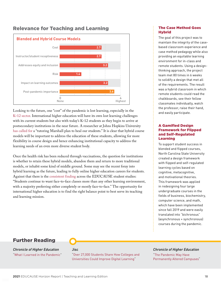



Looking to the future, one "cost" of the pandemic is lost learning, especially in the [K–12 sector.](https://www.the74million.org/article/lost-learning-lost-students-covid-slide-not-as-steep-as-predicted-nwea-study-finds-but-1-in-4-kids-was-missing-from-fall-exams/) International higher education will have its own lost learning challenges with its current students but also with today's K–12 students as they begin to arrive at postsecondary institutions in the near future. A researcher at Johns Hopkins University [has called for](https://robertslavinsblog.wordpress.com/2020/11/09/an-open-letter-to-president-elect-biden-a-tutoring-marshall-plan-to-heal-our-students/) a "tutoring Marshall plan to heal our students." It is clear that hybrid course models will be important to address the education of these students, allowing for more flexibility in course design and hence enhancing institutional capacity to address the learning needs of an even more diverse student body.

Once the health risk has been reduced through vaccinations, the question for institutions is whether to retain these hybrid models, abandon them and return to more traditional models, or inhabit some kind of middle ground. Some may see the recent foray into hybrid learning as the future, leading to fully online higher education careers for students. Against that there is the [consistent finding](https://www.educause.edu/ecar/research-publications/student-technology-report-supporting-the-whole-student/2020/technology-use-and-environmental-preferences) across the EDUCAUSE student studies: "Students continue to want face-to-face classes more than any other learning environment, with a majority preferring either completely or mostly face-to-face." The opportunity for international higher education is to find the right balance point to best serve its teaching and learning mission.

#### [The Case Method Goes](https://www.hbs.edu/news/articles/Pages/creating-hybrid-classrooms.aspx)  **[Hybrid](https://www.hbs.edu/news/articles/Pages/creating-hybrid-classrooms.aspx)**

The goal of this project was to maintain the integrity of the casebased classroom experience and case method pedagogy while also providing an equitable learning environment for in-class and remote students. Using a designthinking approach, the project team met 80 times in 6 weeks to solidify a design that met all of the requirements. The result was a hybrid classroom in which remote students could read the chalkboards, see their fellow classmates individually, watch the professor, raise their hand, and easily participate.

#### [A Gamified Design](https://docs.google.com/presentation/d/1FjS5HqvqhI5s7_yKWk3Udhsn_B4oZDLfhE_Bo4a2hJA/edit#slide=id.p)  [Framework for Flipped](https://docs.google.com/presentation/d/1FjS5HqvqhI5s7_yKWk3Udhsn_B4oZDLfhE_Bo4a2hJA/edit#slide=id.p)  [and Self-Regulated](https://docs.google.com/presentation/d/1FjS5HqvqhI5s7_yKWk3Udhsn_B4oZDLfhE_Bo4a2hJA/edit#slide=id.p)  [Learning](https://docs.google.com/presentation/d/1FjS5HqvqhI5s7_yKWk3Udhsn_B4oZDLfhE_Bo4a2hJA/edit#slide=id.p)

To support student success in blended and flipped courses, North Carolina State University created a design framework with flipped and self-regulated learning cycles based on cognitive, metacognitive, and motivational theories. This framework was applied in redesigning four large undergraduate courses in the fields of business, biochemistry, computer science, and math, which have been implemented since fall 2019 and were easily translated into "bichronous" (asynchronous + synchronous) courses during the pandemic.

## Further Reading

*Chronicle of Higher Education* ["What I Learned in the Pandemic](https://community.chronicle.com/news/2476-what-i-learned-in-the-pandemic?cid=VTEVPMSED1)"

#### Jisc

["Over 27,000 Students Share How Colleges and](https://www.jisc.ac.uk/news/over-27000-students-share-how-colleges-and-universities-could-improve-digital-learning-08-mar-2021)  [Universities Could Improve Digital Learning](https://www.jisc.ac.uk/news/over-27000-students-share-how-colleges-and-universities-could-improve-digital-learning-08-mar-2021)"

#### *Chronicle of Higher Education*

["The Pandemic May Have](https://www.chronicle.com/article/the-pandemic-may-have-permanently-altered-campuses-heres-how) [Permanently Altered Campuses"](https://www.chronicle.com/article/the-pandemic-may-have-permanently-altered-campuses-heres-how)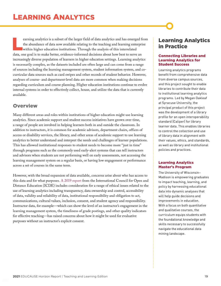<span id="page-18-0"></span>earning analytics is a subset of the larger field of data analytics and has emerged from the abundance of data now available relating to the teaching and learning enterprise within higher education institutions. Through the analysis of this interrelated data, one goal is to make better, evidence-informed decisions about how best to serve an increasingly diverse population of learners in higher education settings. Learning analytics is necessarily complex, as the datasets included are often large and can come from a range of sources including the learning management system, student information system, and cocurricular data sources such as card swipes and other records of student behavior. However, analyses of course- and department-level data are more common when making decisions regarding curriculum and course planning. Higher education institutions continue to evolve internal systems in order to effectively collect, house, and utilize the data that is currently available.

## **Overview**

Many different areas and roles within institutions of higher education might use learning analytics. Since academic support and student success initiatives have grown over time, a range of people are involved in helping learners both in and outside the classroom. In addition to instructors, it is common for academic advisors, department chairs, offices of access or disability services, the library, and other areas of academic support to use learning analytics to better understand and interpret the needs and challenges of learner populations. This has allowed institutional responses to student needs to become more "just in time" through programs such as the commonly used early-alert systems that can tell instructors and advisors when students are not performing well on early assessments, not accessing the learning management system on a regular basis, or having low engagement or performance across a set of courses in the same term.

However, with the broad expansion of data available, concerns arise about who has access to this data and for what purposes. [A 2019 report](https://www.aace.org/review/global-guidelines-ethics-in-learning-analytics/) from the International Council for Open and Distance Education (ICDE) includes consideration for a range of ethical issues related to the use of learning analytics including transparency, data ownership and control, accessibility of data, validity and reliability of data, institutional responsibility and obligation to act, communications, cultural values, inclusion, consent, and student agency and responsibility. Instructor data, for example—which can show the level of an instructor's engagement in the learning management system, the timeliness of grade postings, and other quality indicators for effective teaching—has raised concerns about how it might be used for evaluative purposes without an instructor's explicit consent.

## Learning Analytics in Practice

#### [Connecting Libraries and](https://library.educause.edu/resources/2020/12/connecting-libraries-and-learning-analytics-for-student-success)  [Learning Analytics for](https://library.educause.edu/resources/2020/12/connecting-libraries-and-learning-analytics-for-student-success)  [Student Success](https://library.educause.edu/resources/2020/12/connecting-libraries-and-learning-analytics-for-student-success)

Learning analytics programs benefit from comprehensive data from diverse campus sources, and this project sought to enable libraries to contribute their data to institutional learning analytics programs. Led by Megan Oakleaf at Syracuse University, the principal product of this project was the development of a library profile for an open interoperability standard (Caliper) for library learner data. This enables libraries to control the collection and use of library data in alignment with their values, ethics, and standards, as well as library and institutional policies and practices.

#### [Learning Analytics](https://learninganalytics.education.wisc.edu/)  [Master's Program](https://learninganalytics.education.wisc.edu/)

The University of Wisconsin– Madison is empowering graduates to impact teaching, learning, and policy by harnessing educational data into dynamic analyses that will help guide decisions and improvements in education. With a focus on both quantitative and qualitative courses, the curriculum equips students with the foundational knowledge and skills necessary to successfully navigate the educational data mining landscape.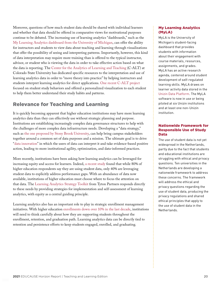Moreover, questions of how much student data should be shared with individual learners and whether that data should be offered in comparative views for motivational purposes continue to be debated. The increasing use of learning analytics "dashboards," such as the [My Learning Analytics dashboard from the University of Michigan,](https://its.umich.edu/academics-research/teaching-learning/my-learning-analytics) can offer the ability for instructors and students to view data about teaching and learning through visualizations that offer the possibility of seeing and interpreting patterns. Importantly, however, this kind of data interpretation may require more training than is offered to the typical instructor, advisor, or student who is viewing the data in order to take effective action based on what the data is reporting. The [Center for the Analytics of Learning and Teaching](https://www.chhs.colostate.edu/alt) (C-ALT) at Colorado State University has dedicated specific resources to the interpretation and use of learning analytics data in order to "move theory into practice" by helping instructors and students interpret learning analytics for direct applications. [One recent C-ALT project](https://chhs.source.colostate.edu/center-for-the-analytics-of-learning-and-teaching-faculty-win-distinction-in-research-applied-science-category-award/) focused on student study behaviors and offered a personalized visualization to each student to help them better understand their study habits and patterns.

## Relevance for Teaching and Learning

It is quickly becoming apparent that higher education institutions may have more learning analytics data than they can effectively use without strategic planning and purpose. Institutions are establishing increasingly complex data governance structures to help with the challenges of more complex data infrastructure needs. Developing a "data strategy," such as [the one proposed by Stony Brook University,](https://www.stonybrook.edu/commcms/irpe/about/_files/Data%20Strategy.pdf) can help bring campus stakeholders together around a common set of data purposes and a mission. The ultimate goal is to drive "[data innovation"](https://eab.com/insights/blogs/operations/data-democratization-higher-ed/) in which the users of data can interpret it and take evidence-based positive action, leading to more institutional agility, optimization, and data-informed practices.

More recently, institutions have been asking how learning analytics can be leveraged for increasing equity and access for learners. Indeed, [a recent study](https://universitybusiness.com/equity-learning-analytics-college-access-outcomes/) found that while 80% of higher education respondents say they are using student data, only 40% are leveraging student data to explicitly address performance gaps. With an abundance of data now available, institutions of higher education must choose where to focus the attention on that data. The [Learning Analytics Strategy Toolkit](https://solve.everylearnereverywhere.org/kit/8S6kbfaTtXefIQmP4iqq) from Tyton Partners responds directly to these needs by providing strategies for implementation and self-assessment of learning analytics, with equity as a central guiding principle.

Learning analytics also has an important role to play in strategic enrollment management initiatives. With higher education [enrollments down over 10% in the last decade](https://www.npr.org/2019/12/16/787909495/fewer-students-are-going-to-college-heres-why-that-matters), institutions will need to think carefully about how they are supporting students throughout the enrollment, retention, and graduation path. Learning analytics data can be directly tied to retention and persistence efforts to keep students engaged, enrolled, and graduating.

#### [My Learning Analytics](https://its.umich.edu/academics-research/teaching-learning/my-learning-analytics) [\(MyLA\)](https://its.umich.edu/academics-research/teaching-learning/my-learning-analytics)

MyLA is the University of Michigan's student-facing dashboard that provides students with information about their engagement with course materials, resources, assignments, and grades. MyLA has an active research agenda, centered around student development of self-regulated learning skills. MyLA draws on learner activity data stored in the [Unizin Data Platform](https://resources.unizin.org/display/UDP). The MyLA software is now in use or being piloted at six Unizin institutions and at least one non-Unizin institution.

#### [Nationwide Framework for](https://versnellingsplan.nl/english/zones/learning-analytics/)  [Responsible Use of Study](https://versnellingsplan.nl/english/zones/learning-analytics/) [Data](https://versnellingsplan.nl/english/zones/learning-analytics/)

The use of student data is not yet widespread in the Netherlands, partly due to the fact that students and educational institutions are struggling with ethical and privacy questions. Ten universities in the Netherlands are developing a nationwide framework to address these concerns. The framework will address the ethical and privacy questions regarding the use of student data, producing the privacy regulations and shared ethical principles that apply to the use of student data in the Netherlands.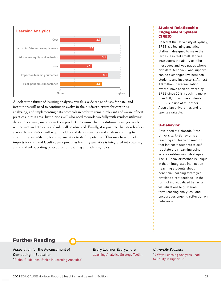

A look at the future of learning analytics reveals a wide range of uses for data, and institutions will need to continue to evolve in their infrastructures for capturing, analyzing, and implementing data protocols in order to remain relevant and aware of best practices in this area. Institutions will also need to work carefully with vendors utilizing data and learning analytics in their products to ensure that institutional strategic goals will be met and ethical standards will be observed. Finally, it is possible that stakeholders across the institution will require additional data awareness and analysis training to ensure they are utilizing learning analytics to its full potential. This may have broader impacts for staff and faculty development as learning analytics is integrated into training and standard operating procedures for teaching and advising roles.

#### [Student Relationship](https://sres.io/)  [Engagement System](https://sres.io/) [\(SRES\)](https://sres.io/)

Based at the University of Sydney, SRES is a learning analytics platform designed to make the large class feel small. It gives instructors the ability to tailor messages and web pages where rich data, feedback, and support can be exchanged live between students and instructors. Almost 1.8 million "personalization events" have been delivered by SRES since 2016, reaching more than 100,000 unique students. SRES is in use at four other Australian universities and is openly available.

#### [U-Behavior](https://chhs.source.colostate.edu/center-for-the-analytics-of-learning-and-teaching-faculty-win-distinction-in-research-applied-science-category-award/)

Developed at Colorado State University, U-Behavior is a teaching and learning method that instructs students to selfregulate their learning using science-of-learning strategies. The U-Behavior method is unique in that it integrates instruction (teaching students about beneficial learning strategies), provides direct feedback in the form of individualized behavior visualizations (e.g., visualform learning analytics), and encourages ongoing reflection on behaviors.

## Further Reading

Association for the Advancement of Computing in Education ["Global Guidelines: Ethics in Learning Analytics"](https://www.aace.org/review/global-guidelines-ethics-in-learning-analytics/) Every Learner Everywhere [Learning Analytics Strategy Toolkit](https://solve.everylearnereverywhere.org/kit/8S6kbfaTtXefIQmP4iqq)

#### *University Business*

["4 Ways Learning Analytics Lead](https://universitybusiness.com/equity-learning-analytics-college-access-outcomes/)  [to Equity in Higher Ed](https://universitybusiness.com/equity-learning-analytics-college-access-outcomes/)"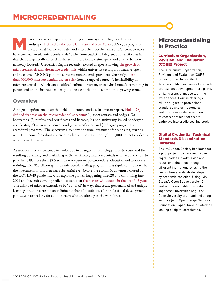<span id="page-21-0"></span>icrocredentials are quickly becoming a mainstay of the higher education landscape. Defined by the State University of New York (SUNY) as programs of study that "verify, validate, and attest that specific skills and/or comp landscape. [Defined by the State University of New York](https://system.suny.edu/academic-affairs/microcredentials/) (SUNY) as programs have been achieved," microcredentials "differ from traditional degrees and certificates in that they are generally offered in shorter or more flexible timespans and tend to be more narrowly focused." Credential Engine recently released a report showing [the growth of](https://credentialengine.org/counting-credentials-2021/) [microcredentials and alternative credentials](https://credentialengine.org/counting-credentials-2021/) within university settings, on massive open online course (MOOC) platforms, and via nonacademic providers. Currently, [more](https://eddesignlab.org/wp-content/uploads/2020/08/EDL_MicropathwaysExplained.pdf) [than 700,000 microcredentials are on offer](https://eddesignlab.org/wp-content/uploads/2020/08/EDL_MicropathwaysExplained.pdf) from a range of sources. The flexibility of microcredentials—which can be offered online, in person, or in hybrid models combining inperson and online instruction—may also be a contributing factor to this growing trend.

## **Overview**

A range of options make up the field of microcredentials. In a recent report, [HolonIQ](https://www.holoniq.com/notes/micro-and-alternative-credentials.-size-shape-and-scenarios-part-1)  [defined six areas on the microcredential spectrum](https://www.holoniq.com/notes/micro-and-alternative-credentials.-size-shape-and-scenarios-part-1): (1) short courses and badges, (2) bootcamps, (3) professional certificates and licenses, (4) non–university-issued nondegree certificates, (5) university-issued nondegree certificates, and (6) degree programs or accredited programs. The spectrum also notes the time investment for each area, starting with 1–10 hours for a short course or badge, all the way up to 1,500–5,000 hours for a degree or accredited program.

As workforce needs continue to evolve due to changes in technology infrastructure and the resulting upskilling and re-skilling of the workforce, microcredentials will have a key role to play. In 2019, more than \$2.5 trillion was spent on postsecondary education and workforce training, with \$10 billion spent on microcredentialing programs. It is significant to note that the investment in this area was substantial even before the economic downturn caused by the COVID-19 pandemic, with explosive growth happening in 2020 and continuing into 2021 and beyond; current predictions state that [the market will double in the next 3–5 years](https://www.holoniq.com/notes/micro-and-alternative-credentials.-size-shape-and-scenarios-part-1). The ability of microcredentials to be "bundled" in ways that create personalized and unique learning structures creates an infinite number of possibilities for professional development pathways, particularly for adult learners who are already in the workforce.

## Microcredentialing in Practice

#### [Curriculum Organization,](https://www.dropbox.com/s/nrm4297yw3eau5h/UW-Madison%20CORE%20Project%20Overview.pdf?dl=0)  [Revision, and Evaluation](https://www.dropbox.com/s/nrm4297yw3eau5h/UW-Madison%20CORE%20Project%20Overview.pdf?dl=0)  [\(CORE\) Project](https://www.dropbox.com/s/nrm4297yw3eau5h/UW-Madison%20CORE%20Project%20Overview.pdf?dl=0)

The Curriculum Organization, Revision, and Evaluation (CORE) project at the University of Wisconsin–Madison seeks to provide professional development programs utilizing transformative learning experiences. Course offerings will be aligned to professional standards and competencies and offer stackable component microcredentials that create pathways into credit-bearing study.

#### [Digital Credential Technical](https://en.imsjapan.org/case)  [Standards Dissemination](https://en.imsjapan.org/case) [Initiative](https://en.imsjapan.org/case)

The IMS Japan Society has launched a pilot project to share and reuse digital badges in admission and recurrent education among different institutions by using the curriculum standards developed by academic societies. Using IMS Global's Open Badge Version 2 and W3C's Verifiable Credential, Japanese universities (e.g., the Open University of Japan) and badge vendors (e.g., Open Badge Network Foundation, Japan) have initiated the issuing of digital certificates.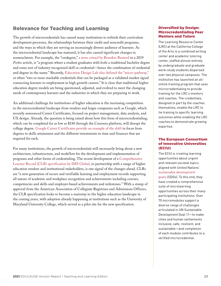## Relevance for Teaching and Learning

The growth of microcredentials has caused many institutions to rethink their curriculum development processes, the relationships between their credit and noncredit programs, and the ways in which they are serving an increasingly diverse audience of learners. As the microcredential landscape has matured, it has also caused significant changes in nomenclature. For example, the "credegree," [a term coined by Brandon Busteed](https://www.forbes.com/sites/brandonbusteed/2019/03/11/why-college-will-soon-be-about-credegrees-and-co-ops/?sh=8bc99d731595) in a 2019 *Forbes* article, is "a program where a student graduates with both a traditional bachelor degree and some sort of industry-recognized skill or credential—hence the combination of credential and degree in the name." Recently, [Education Design Lab also defined the "micro-pathway,"](https://eddesignlab.org/wp-content/uploads/2020/08/EDL_MicropathwaysExplained.pdf) or when "two or more stackable credentials that can be packaged as a validated market signal connecting learners to employment in high growth careers." It is clear that traditional higher education degree models are being questioned, adjusted, and evolved to meet the changing needs of contemporary learners and the industries in which they are preparing to work.

An additional challenge for institutions of higher education is the increasing competition in the microcredential landscape from vendors and larger companies such as Google, which recently announced Career Certificates, focused on project management, data analysis, and UX design. Already, the question is being raised about how this form of microcredentialing, which can be completed for as low as \$240 through the Coursera platform, will disrupt the college degree. [Google Career Certificates provide an example of the shift](https://www.inc.com/justin-bariso/google-plan-disrupt-college-degree-university-higher-education-certificate-project-management-data-analyst.html) in focus from degrees to skills attainment and the different investments in time and finances that are required for each.

For many institutions, the growth of microcredentials will necessarily bring about a new architecture, infrastructure, and workflow for the development and implementation of programs and other forms of credentialing. The recent development of a [Comprehensive](https://www.imsglobal.org/activity/comprehensive-learner-record) [Learner Record \(CLR\) specification by IMS Global](https://www.imsglobal.org/activity/comprehensive-learner-record), in partnership with a range of higher education vendors and institutional stakeholders, is one signal of the changes ahead. CLRs are "a new generation of secure and verifiable learning and employment records supporting all nature of academic and workplace recognition and achievements including courses, competencies and skills and employer-based achievements and milestones." With a stamp of approval from the American Association of Collegiate Registrars and Admissions Officers, the CLR specification looks to become a mainstay in the higher education landscape in the coming years, with adoption already happening at institutions such as the University of Maryland University College, which served as a pilot site for the new specification.

#### [Diversified by Design:](https://portal.cca.edu/learning/learning-resources/lrc-coach-training-program/) [Microcredentialing Peer](https://portal.cca.edu/learning/learning-resources/lrc-coach-training-program/) [Mentors and Tutors](https://portal.cca.edu/learning/learning-resources/lrc-coach-training-program/)

The Learning Resource Center (LRC) at the California College of the Arts is a combined writing center and academic tutoring center, staffed almost entirely by undergraduate and graduate work-study students dispersed over two physical campuses. The institution has launched an allonline training program that uses microcredentialing to provide training for the LRC's mentors and coaches. The credentials, designed in part by the coaches themselves, enable the LRC to tie training to specific learning outcomes while enabling the LRC coaches to demonstrate growing expertise.

#### [The European Consortium](https://www.eciu.org/for-learners/about)  [of Innovative Universities](https://www.eciu.org/for-learners/about) [\(ECIU\)](https://www.eciu.org/for-learners/about)

The ECIU is creating learning opportunities about urgent and relevant societal topics aligned with United Nations' [sustainable development](https://sdgs.un.org/goals) [goals](https://sdgs.un.org/goals) (SDGs). To this end, they have created a comprehensive suite of microlearning opportunities across their many participating institutions. Over 70 micromodules support a diverse range of challenges articulated in UN Sustainable Development Goal 11—to make cities and human settlements inclusive, safe, resilient, and sustainable—and completion of each module contributes to a verified microcredential.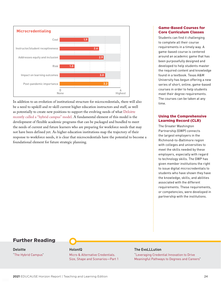

In addition to an evolution of institutional structure for microcredentials, there will also be a need to upskill and re-skill current higher education instructors and staff, as well as potentially to create new positions to support the evolving needs of what [Deloitte](https://www2.deloitte.com/us/en/insights/industry/public-sector/post-pandemic-hybrid-learning.html) [recently called a "hybrid campus" model](https://www2.deloitte.com/us/en/insights/industry/public-sector/post-pandemic-hybrid-learning.html). A fundamental element of this model is the development of flexible academic programs that can be packaged and bundled to meet the needs of current and future learners who are preparing for workforce needs that may not have been defined yet. As higher education institutions map the trajectory of their response to workforce needs, it is clear that microcredentials have the potential to become a foundational element for future strategic planning.

#### [Game-Based Courses for](http://viz.arch.tamu.edu/)  [Core Curriculum Classes](http://viz.arch.tamu.edu/)

Students can find it challenging to complete all their course requirements in a timely way. A game-based course is centered around an academic game that has been purposefully designed and developed to help students master the required content and knowledge found in a textbook. Texas A&M University has begun offering a new series of short, online, game-based courses in order to help students meet their degree requirements. The courses can be taken at any time.

#### [Using the Comprehensive](https://gwp.umbc.edu/) [Learning Record \(CLR\)](https://gwp.umbc.edu/)

The Greater Washington Partnership (GWP) connects the largest employers in the Richmond-to-Baltimore region with colleges and universities to meet the skills needed by these employers, especially with regard to technology skills. The GWP has given member institutions the right to issue digital microcredentials to students who have shown they have the knowledge, skills, and abilities associated with the different requirements. These requirements, or competencies, were developed in partnership with the institutions.

## Further Reading

#### **Deloitte** "[The Hybrid Campus"](https://www2.deloitte.com/us/en/insights/industry/public-sector/post-pandemic-hybrid-learning.html)

#### HolonIQ

[Micro & Alternative Credentials.](https://www.holoniq.com/notes/micro-and-alternative-credentials.-size-shape-and-scenarios-part-1) [Size, Shape and Scenarios—Part 1](https://www.holoniq.com/notes/micro-and-alternative-credentials.-size-shape-and-scenarios-part-1)

#### The EvoLLLution

["Leveraging Credential Innovation to Drive](https://evolllution.com/programming/credentials/leveraging-credential-innovation-to-drive-meaningful-pathways-to-degrees-and-careers/) [Meaningful Pathways to Degrees and Careers"](https://evolllution.com/programming/credentials/leveraging-credential-innovation-to-drive-meaningful-pathways-to-degrees-and-careers/)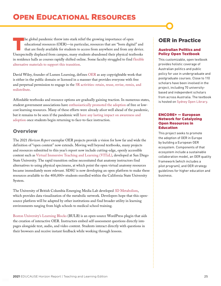## <span id="page-24-0"></span>OPEN EDUCATIONAL RESOURCES

The global pandemic threw into stark relief the growing importance of open<br>educational resources (OER)—in particular, resources that are "born digita<br>that are freely available for students to access from anywhere and from educational resources (OER)—in particular, resources that are "born digital" and that are freely available for students to access from anywhere and from any device. Unexpectedly displaced from campus, many students abandoned their physical textbooks in residence halls as courses rapidly shifted online. Some faculty struggled to find [flexible](https://www.emerald.com/insight/content/doi/10.1108/JME-04-2020-0027/full/html) [alternative materials to support this transition.](https://www.emerald.com/insight/content/doi/10.1108/JME-04-2020-0027/full/html)

David Wiley, founder of Lumen Learning, defines [OER](http://opencontent.org/definition/) as any copyrightable work that is either in the public domain or licensed in a manner that provides everyone with free and perpetual permission to engage in the [5R activities: retain, reuse, revise, remix, and](https://courses.lumenlearning.com/pathways/chapter/reading-the-5rs-of-oer/) [redistribute.](https://courses.lumenlearning.com/pathways/chapter/reading-the-5rs-of-oer/)

Affordable textbooks and resource options are gradually gaining traction. In numerous states, student government associations have [enthusiastically promoted the adoption](https://www.kansan.com/news/legislature-student-senate-work-to-decrease-textbook-prices/article_ce4dbc12-34af-11e9-a0d4-c7aee0023af3.html) of free or lowcost learning resources. Many of these efforts were already afoot well ahead of the pandemic, but it remains to be seen if the pandemic will [have any lasting impact on awareness and](https://www.insidehighered.com/digital-learning/article/2021/03/18/pandemic-didnt-speed-adoption-open-educational-resources-outlook)  [adoption](https://www.insidehighered.com/digital-learning/article/2021/03/18/pandemic-didnt-speed-adoption-open-educational-resources-outlook) once students begin returning to face-to-face instruction.

## **Overview**

The 2021 *Horizon Report* exemplar OER projects provide a vision for how far and wide the definition of "open content" now extends. Moving well beyond textbooks, many projects and resources submitted to this year's report now include cutting-edge, openly accessible content such as [Virtual Immersive Teaching and Learning \(VITaL\),](https://its.sdsu.edu/vital/) developed at San Diego State University. The rapid transition online necessitated that anatomy instructors find alternatives to using physical specimens, at which point the open virtual anatomy resources became immediately more relevant. SDSU is now developing an open platform to make these resources available to the 400,000+ students enrolled within the California State University System.

The University of British Columbia Emerging Media Lab developed [3D Metabolism](http://eml.ubc.ca/projects/3d-metabolism/), which provides data visualization of the metabolic network. Developers hope that this opensource platform will be adapted by other institutions and find broader utility in learning environments ranging from high schools to medical school training.

[Boston University's Learning Blocks](https://digital.bu.edu/bulb/) (BULB) is an open-source WordPress plugin that aids the creation of interactive OER. Instructors embed self-assessment questions directly into pages alongside text, audio, and video content. Students interact directly with questions in their browsers and receive instant feedback while working through lessons.

## OER in Practice

#### [Australian Politics and](https://sydneyuniversitypress.com.au/blogs/news/revolutionary-textbook-saves-students-thousands)  [Policy Open Textbook](https://sydneyuniversitypress.com.au/blogs/news/revolutionary-textbook-saves-students-thousands)

This customizable, open textbook provides holistic coverage of Australian politics and public policy for use in undergraduate and postgraduate courses. Close to 110 scholars have been involved in the project, including 70 universitybased and independent scholars from across Australia. The textbook is hosted on [Sydney Open Library](https://open.sydneyuniversitypress.com.au/).

#### [ENCORE+ — European](https://next-education.org/ongoing-projects/#encore)  [Network for Catalyzing](https://next-education.org/ongoing-projects/#encore)  [Open Resources in](https://next-education.org/ongoing-projects/#encore) [Education](https://next-education.org/ongoing-projects/#encore)

This project seeks to promote the adoption of OER in Europe by building a European OER ecosystem. Components of that ecosystem include a sustainable collaboration model, an OER quality framework (which includes a pilot program), and OER strategy guidelines for higher education and business.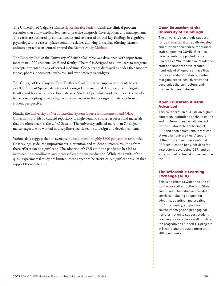The University of Calgary's [Endlessly Replayable Patient Cards](https://cards.ucalgary.ca/) are clinical problem scenarios that allow medical learners to practice diagnosis, investigation, and management. The cards are authored by clinical faculty and structured around key findings in cognitive psychology. The case templates contain variables allowing for replay, offering learners unlimited practice structured around the [Lietner Study Method.](https://jessewhelan.medium.com/using-the-leitner-system-to-improve-your-study-d5edafae7f0)

[The Tapestry Tool](https://tapestry-tool.com/) at the University of British Columbia was developed with input from more than 1,000 students, staff, and faculty. The tool is designed to allow users to integrate concepts presented in any of several mediums. Concepts are displayed as nodes that support videos, photos, documents, websites, and even interactive widgets.

The College of the Canyons [Zero Textbook Cost Initiative](https://www.canyons.edu/ztc) empowers students to act as OER Student Specialists who work alongside instructional designers, technologists, faculty, and librarians to develop materials. Student Specialists work to remove the faculty barriers to adopting or adapting content and assist in the redesign of materials from a student perspective.

#### Finally, the [University of North Carolina System Course Enhancement and OER](https://www.northcarolina.edu/unc-system-course-collection-libraries/)

[Collections](https://www.northcarolina.edu/unc-system-course-collection-libraries/) provides a curated repository of high-demand course resources and materials that are offered across the UNC System. The university enlisted more than 70 subjectmatter experts who worked in discipline-specific teams to design and develop content.

Various data suggest that on average, [students spend roughly \\$600 per year on textbooks.](https://eliterate.us/how-much-do-college-students-actually-pay-for-textbooks/) Cost savings aside, the improvements in retention and student outcomes resulting from these efforts can be significant. The adoption of OER amid the pandemic has led to [increased unit enrollment and increased credit hour production.](https://www.league.org/learning-abstracts/oer-increased-unit-enrollment-and-student-outcomes-help-students-and-colleges) While the results of the quasi-experimental study are limited, there appear to be statistically significant results that support these outcomes.

#### [Open Education at the](https://open.ed.ac.uk/)  [University of Edinburgh](https://open.ed.ac.uk/)

The university's strategic support for OER enabled it to rapidly develop and offer an open course for clinical staff supporting COVID-19 critical care patients. Supported by the university's Wikimedian in Residence, staff and students have created hundreds of Wikipedia entries that redress gender imbalance, center marginalized voices, diversify and decolonize the curriculum, and uncover hidden histories.

#### [Open Education Austria](https://www.openeducation.at/willkommen/) [Advanced](https://www.openeducation.at/willkommen/)

This collaboration of Austrian higher education institutions seeks to define and implement an overall concept for the sustainable anchoring of OER and open educational practices at Austrian universities. Aspects of the program include a national OER certification body, services for instructors developing OER, and an expansion of technical infrastructure for OER.

#### [The Affordable Learning](https://affordablelearning.osu.edu/) [Exchange \(ALX\)](https://affordablelearning.osu.edu/)

This is an effort to widen the use of OER across all six of the Ohio State campuses. The initiative provides services including support for adopting, adapting, and creating OER. Frequently, support for course redesign and pedagogical transformation to support student learning is available as well. To date, the program has funded 114 projects in 5 years and produced more than 200 open books.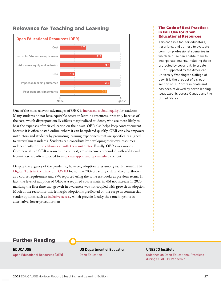## Relevance for Teaching and Learning



One of the most relevant advantages of OER is [increased societal equity](https://www.frontiersin.org/articles/10.3389/feduc.2019.00152/full) for students. Many students do not have equitable access to learning resources, primarily because of the cost, which disproportionally affects marginalized students, who are more likely to bear the expenses of their education on their own. OER also helps keep content current because it is often hosted online, where it can be updated quickly. OER can also empower instructors and students by promoting learning experiences that are specifically aligned to curriculum standards. Students can contribute by developing their own resources independently or in [collaboration with their instructor.](https://pm4id.org/) Finally, OER saves money. Commercialized OER resources, in contrast, are sometimes rebranded with additional fees—these are often referred to as [openwrapped and openwashed](https://news.elearninginside.com/open-openwashing-half-truths-openness/) content.

Despite the urgency of the pandemic, however, adoption rates among faculty remain flat. [Digital Texts in the Time of COVID](https://www.bayviewanalytics.com/reports/digitaltextsinthetimeofcovid.pdf) found that 70% of faculty still retained textbooks as a course requirement and 87% reported using the same textbooks as previous terms. In fact, the level of adoption of OER as a required course material did not increase in 2020, marking the first time that growth in awareness was not coupled with growth in adoption. Much of the reason for this lethargic adoption is predicated on the surge in commercial vendor options, such as [inclusive access](https://www.insidehighered.com/news/2017/11/07/inclusive-access-takes-model-college-textbook-sales), which provide faculty the same imprints in alternative, lower-priced formats.

#### [The Code of Best Practices](https://www.wcl.american.edu/impact/initiatives-programs/pijip/impact/best-practices-in-fair-use/best-practices-in-fair-use-for-open-educational-resources/)  [in Fair Use for Open](https://www.wcl.american.edu/impact/initiatives-programs/pijip/impact/best-practices-in-fair-use/best-practices-in-fair-use-for-open-educational-resources/)  [Educational Resources](https://www.wcl.american.edu/impact/initiatives-programs/pijip/impact/best-practices-in-fair-use/best-practices-in-fair-use-for-open-educational-resources/)

This code is a tool for educators, librarians, and authors to evaluate common professional scenarios in which fair use can enable them to incorporate inserts, including those protected by copyright, to create OER. Supported by the American University Washington College of Law, it is the product of a crosssection of OER professionals and has been reviewed by seven leading legal experts across Canada and the United States.

## Further Reading

EDUCAUSE [Open Educational Resources \(OER\)](https://library.educause.edu/topics/teaching-and-learning/open-educational-resources-oer)

US Department of Education [Open Education](https://tech.ed.gov/open/)

#### UNESCO Institute

[Guidance on Open Educational Practices](https://iite.unesco.org/publications/guidance-on-open-educational-practices-during-covid-19-pandemic/) [during COVID-19 Pandemic](https://iite.unesco.org/publications/guidance-on-open-educational-practices-during-covid-19-pandemic/)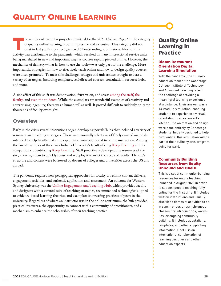<span id="page-27-0"></span>The number of exemplar projects submitted for the 2021 *Horizon Report* in the category of quality online learning is both impressive and extensive. This category did not exist in last year's report yet garnered 63 outstan of quality online learning is both impressive and extensive. This category did not exist in last year's report yet garnered 63 outstanding submissions. Most of this activity was attributable to the pandemic, which resulted in many instructional service units being marshaled in new and important ways as courses rapidly pivoted online. However, the mechanics of delivery—that is, how to use the tools—was only part of the challenge. More importantly, strategies for how to effectively teach online and how to design quality courses were often promoted. To meet this challenge, colleges and universities brought to bear a variety of strategies, including templates, self-directed courses, consultation, resource hubs, and more.

A side effect of this shift was demotivation, frustration, and stress [among the staff](https://www.chronicle.com/article/the-staff-are-not-ok), [the](https://www.fierceeducation.com/administration/faculty-burnout-virtual-teaching-taking-its-toll-as-covid-rages) [faculty,](https://www.fierceeducation.com/administration/faculty-burnout-virtual-teaching-taking-its-toll-as-covid-rages) and [even the students](https://cen.acs.org/education/undergraduate-education/Pandemic-stress-toll-s-taking/99/i2). While the exemplars are wonderful examples of creativity and enterprising ingenuity, there was a human toll as well. It proved difficult to suddenly on-ramp thousands of faculty overnight.

## **Overview**

Early in the crisis several institutions began developing portals/hubs that included a variety of resources and teaching strategies. These were normally selections of finely curated materials intended to help faculty make the rapid pivot from traditional to online instruction. Among the finest examples of these was Indiana University's faculty-facing [Keep Teaching](https://keepteaching.iu.edu/) and its companion student-facing [Keep Learning.](https://keeplearning.iu.edu/) Staff proactively developed the resources of the site, allowing them to quickly revise and redeploy it to meet the needs of faculty. The site's structure and content were borrowed by dozens of colleges and universities across the US and abroad.

The pandemic required new pedagogical approaches for faculty to rethink content delivery, engagement activities, and authentic application and assessment. An outcome for Western Sydney University was the [Online Engagement and Teaching Hub](https://lf.westernsydney.edu.au/engage/), which provided faculty and designers with a curated suite of teaching strategies, recommended technologies aligned to evidence-based learning theories, and exemplars showcasing practices of peers in the university. Regardless of where an instructor was in the online continuum, the hub provided practical resources, the opportunity to connect with a community of practitioners, and a mechanism to enhance the scholarship of their teaching practice.

## Quality Online Learning in Practice

#### [Bloom Restaurant](https://conestogalearnings.wixsite.com/teaching-bloom)  [Orientation Digital](https://conestogalearnings.wixsite.com/teaching-bloom) [Learning Simulation](https://conestogalearnings.wixsite.com/teaching-bloom)

With the pandemic, the culinary education team at the Conestoga College Institute of Technology and Advanced Learning faced the challenge of providing a meaningful learning experience at a distance. Their answer was a 13-module simulation, enabling students to experience a virtual orientation to a restaurant's kitchen. The animation and design were done entirely by Conestoga students. Initially designed to help pivot online, this simulation will be part of their culinary arts program going forward.

#### [Community Building](https://onehe.org/equity-unbound/) **[Resources from Equity](https://onehe.org/equity-unbound/)** [Unbound and OneHE](https://onehe.org/equity-unbound/)

This is a set of community-building resources for online teaching, launched in August 2020 in order to support people teaching fully online for the first time. It includes written instructions and usually also video demos of activities to do in synchronous or asynchronous classes, for introductions, warmups, or ongoing community building. It includes adaptations, templates, and other supporting information. OneHE is an international collaboration of learning designers and other education experts.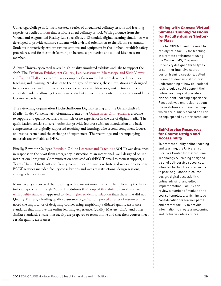Conestoga College in Ontario created a series of virtualized culinary lessons and learning experiences called [Bloom](https://conestogalearnings.wixsite.com/teaching-bloom) that replicate a real culinary school. With guidance from the Virtual and Augmented Reality Lab specialists, a 13-module digital learning simulation was developed to provide culinary students with a virtual orientation to the Bloom restaurant. Students interactively explore various stations and equipment in the kitchen, establish safety procedures, and further their learning to become a productive and skilled kitchen team member.

Auburn University created several high-quality simulated exhibits and labs to support the shift. The [Evolution Exhibit](https://auburn.instructure.com/courses/1303000/pages/virtual-museum), [Art Gallery,](https://auburn.instructure.com/courses/1303000/pages/virtual-art-gallery?module_item_id=18970208) [Lab Assessment](https://auburn.instructure.com/courses/1303000/pages/virtual-lab-assessment), [Microscope and Slide Viewer](https://auburn.instructure.com/courses/1303000/pages/virtual-microscope-and-slide-viewer), and [Exhibit Hall](https://auburn.instructure.com/courses/1303000/pages/virtual-exhibit-hall) are extraordinary examples of resources that were developed to support teaching and learning. Analogues to the on-ground versions, these simulations are designed to be as realistic and intuitive an experience as possible. Moreover, instructors can record annotated videos, allowing them to walk students through the content just as they would in a face-to-face setting.

The e-teaching organization Hochschulforum Digitalisierung and the Gesellschaft für Medien in der Wissenschaft, Germany, created the [Quickstarter Online-Lehre](https://www.e-teaching.org/praxis/themenspecials/quickstarter-online-lehre), a course to support and qualify lecturers with little or no experience in the use of digital media. The qualification consists of seven units that provide lecturers with an introduction and basic competencies for digitally supported teaching and learning. The second component focuses on lessons learned and the exchange of experiences. The recordings and accompanying materials are available as OER.

Finally, Bowdoin College's [Bowdoin Online Learning and Teaching](https://www.bowdoin.edu/bolt/index.html) (BOLT) was developed in response to the pivot from emergency instruction to an intentional, well-designed online instructional program. Communication consisted of askBOLT email to request support, a Teams Channel for faculty-to-faculty communication, and a website and workshop calendar. BOLT services included faculty consultations and weekly instructional design sessions, among other solutions.

Many faculty discovered that teaching online meant more than simply replicating the faceto-face experience through Zoom. Institutions that [coupled that shift to remote instruction](https://news.iu.edu/stories/2021/03/iu/inside/05-quality-matters-renewed-focus-covid-19-pandemic.html)  [with quality standards](https://news.iu.edu/stories/2021/03/iu/inside/05-quality-matters-renewed-focus-covid-19-pandemic.html) appeared to [yield higher student satisfaction](https://ieeexplore.ieee.org/abstract/document/9276630) than those that did not. Quality Matters, a leading quality assurance organization, [pooled a series of resources](https://www.qualitymatters.org/qa-resources/resource-center/articles-resources/covid-19-remote-instruction) that noted the importance of designing courses using empirically validated quality assurance standards that improve the online learning experience. Quality Matters, OLC, and other similar standards ensure that faculty are prepared to teach online and that their courses meet certain quality assurances.

#### [Hiking with Canvas: Virtual](https://canvas.chapman.edu/courses/27009)  [Summer Training Sessions](https://canvas.chapman.edu/courses/27009) [for Faculty during Shelter](https://canvas.chapman.edu/courses/27009)[in-Place](https://canvas.chapman.edu/courses/27009)

Due to COVID-19 and the need to rapidly train faculty for teaching in a remote environment using the Canvas LMS, Chapman University designed three types of summer intensive course design training sessions, called "hikes," to deepen instructors' understanding of how educational technologies could support their online teaching and provide a rich student-learning experience. Feedback was enthusiastic about the usefulness of these trainings, which are publicly shared and can be repurposed by other campuses.

#### [Self-Service Resources](https://citt.ufl.edu/articles/faculty-self-service-resources.html) [for Course Design and](https://citt.ufl.edu/articles/faculty-self-service-resources.html)  [Accessibility](https://citt.ufl.edu/articles/faculty-self-service-resources.html)

To promote quality online teaching and learning, the University of Florida's Center for Instructional Technology & Training designed a set of self-service resources, intended for faculty and advisors, to provide guidance in course design, digital accessibility, online advising, and edtech implementation. Faculty can review a number of modules and course templates, which include consideration for learner paths and prompt faculty to provide information to create a welcoming and inclusive online course.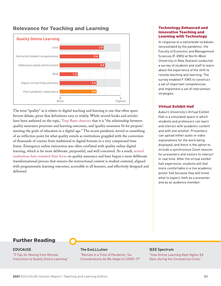

### Relevance for Teaching and Learning

The term "quality" as it relates to digital teaching and learning is one that often spurs fervent debate, given that definitions vary so widely. While several books and articles have been authored on the topic, [Tony Bates observes](https://opentextbc.ca/teachinginadigitalage/chapter/11-1-what-do-we-mean-by-quality-when-teaching-in-a-digital-age/) that it is "the relationship between quality assurance processes and learning outcomes, and 'quality assurance fit for purpose': meeting the goals of education in a digital age." The recent pandemic served as something of an inflection point for what quality entails as institutions grappled with the conversion of thousands of courses from traditional to digital formats in a very compressed time frame. Emergency online instruction was often conflated with quality online digital learning, which is far more deliberate, purposeful, and well conceived. As a result, [several](https://news.iu.edu/stories/2021/03/iu/inside/05-quality-matters-renewed-focus-covid-19-pandemic.html) [institutions have renewed their focus](https://news.iu.edu/stories/2021/03/iu/inside/05-quality-matters-renewed-focus-covid-19-pandemic.html) on quality assurance and have begun a more deliberate transformational process that ensures the instructional content is student centered, aligned with programmatic learning outcomes, accessible to all learners, and effectively designed and delivered.

#### [Technology Enhanced and](https://commerce.nwu.ac.za/telit-sa/home) [Innovative Teaching and](https://commerce.nwu.ac.za/telit-sa/home) [Learning with Technology](https://commerce.nwu.ac.za/telit-sa/home)

In response to a nationwide lockdown necessitated by the pandemic, the Faculty of Economic and Management Sciences (F-EMS) at North-West University in New Zealand conducted a survey of students and staff to learn about the experience of the shift to remote teaching and learning. The survey enabled F-EMS to construct a set of important competencies and implement a set of intervention strategies.

#### [Virtual Exhibit Hall](https://aub.ie/VEH)

Auburn University's Virtual Exhibit Hall is a simulated space in which students and professors can learn and interact with academic content and with one another. Presenters can upload either audio or video explanations for the work being displayed, and there is the option to include a synchronous Zoom session for presenters and visitors to interact in real time. After the virtual exhibit hall experience, students will feel more comfortable in a live academic poster hall because they will know what to expect, both as a presenter and as an audience member.

## Further Reading

#### EDUCAUSE

"[5 Tips for Moving from Remote](https://er.educause.edu/blogs/2020/5/5-tips-for-moving-from-remote-instruction-to-quality-online-learning)  [Instruction to Quality Online Learning"](https://er.educause.edu/blogs/2020/5/5-tips-for-moving-from-remote-instruction-to-quality-online-learning)

#### The EvoLLLution

"[Remote in a Time of Pandemic: Six](https://evolllution.com/revenue-streams/distance_online_learning/remote-in-a-time-of-pandemic-six-considerations-as-we-adapt-to-covid-19/)  [Considerations As We Adapt to COVID-19"](https://evolllution.com/revenue-streams/distance_online_learning/remote-in-a-time-of-pandemic-six-considerations-as-we-adapt-to-covid-19/)

#### IEEE Spectrum

"[How Online Learning Kept Higher Ed](https://spectrum.ieee.org/tech-talk/at-work/education/how-online-learning-kept-higher-ed-open-during-the-coronavirus-crisis)  [Open during the Coronavirus Crisis"](https://spectrum.ieee.org/tech-talk/at-work/education/how-online-learning-kept-higher-ed-open-during-the-coronavirus-crisis)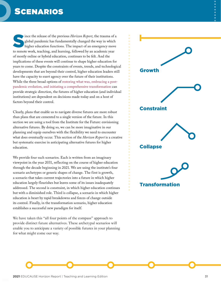## <span id="page-30-0"></span>SCENARIOS

Since the release of the previous *Horizon Report*, the trauma of a global pandemic has fundamentally changed the way in which higher education functions. The impact of an emergency move global pandemic has fundamentally changed the way in which to remote work, teaching, and learning, followed by an academic year of mostly online or hybrid education, continues to be felt. And the implications of these events will continue to shape higher education for years to come. Despite the constraints of events, trends, and technological developments that are beyond their control, higher education leaders still have the capacity to exert agency over the future of their institutions. While the three broad options of [restoring what was, embracing a post](https://www.educause.edu/research-and-publications/research/top-10-it-issues-technologies-and-trends/2021)[pandemic evolution, and initiating a comprehensive transformation](https://www.educause.edu/research-and-publications/research/top-10-it-issues-technologies-and-trends/2021) can provide strategic direction, the futures of higher education (and individual institutions) are dependent on decisions made today and on a host of factors beyond their control.

Clearly, plans that enable us to navigate diverse futures are more robust than plans that are cemented to a single version of the future. In this section we are using a tool from the Institute for the Future: envisioning alternative futures. By doing so, we can be more imaginative in our planning and equip ourselves with the flexibility we need to encounter what does eventually occur. This section of the *Horizon Report* is a creative but systematic exercise in anticipating alternative futures for higher education.

We provide four such scenarios. Each is written from an imaginary viewpoint in the year 2031, reflecting on the course of higher education through the decade beginning in 2021. We are using the institute's four scenario archetypes or generic shapes of change. The first is growth, a scenario that takes current trajectories into a future in which higher education largely flourishes but leaves some of its issues inadequately addressed. The second is constraint, in which higher education continues but with a diminished role. Third is collapse, a scenario in which higher education is beset by rapid breakdowns and forces of change outside its control. Finally, in the transformation scenario, higher education establishes a successful new paradigm for itself.

We have taken this "all four points of the compass" approach to provide distinct future alternatives. These archetypal scenarios will enable you to anticipate a variety of possible futures in your planning for what might come our way.

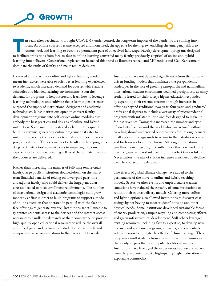<span id="page-31-0"></span>

en years after vaccinations brought COVID-19 under control, the long-term impacts of the pandemic are coming into focus. As online courses became accepted and monetized, the appetite for them grew, enabling the emergency shifts to remote work and learning to become a permanent part of an evolved landscape. Faculty development programs designed to facilitate transitions from face-to-face to online learning converted many faculty previously skeptical of online and hybrid learning into believers. Generational replacement hastened this trend as Boomers retired and Millennials and Gen Zers came to dominate the ranks of faculty and make tenure decisions.

Increased enthusiasm for online and hybrid learning models meant instructors were able to offer better learning experiences to students, which increased demand for courses with flexible schedules and blended learning environments. Soon the demand for programs to help instructors learn how to leverage learning technologies and cultivate richer learning experiences outpaced the supply of instructional designers and academic technologists. Most institutions opted to convert faculty development programs into self-service online modules that embody the best practices and designs of online and hybrid instruction. Some institutions staked a claim in this space by building revenue-generating online programs that cater to institutions lacking the resources to create or support their own programs at scale. The experiences for faculty in these programs deepened instructors' commitments to imparting the same experiences to their students, regardless of the formats in which their courses are delivered.

Rather than increasing the number of full-time tenure-track faculty, large public institutions doubled-down on the shortterm financial benefits of relying on lower-paid part-time and adjunct faculty who could deliver the largely modular courses needed to meet enrollment requirements. The number of instructional design and academic technologist staff grew modestly at first in order to build programs to support a model of online education that operated in parallel with the face-toface offerings to generate revenue. Institutions are still unable to guarantee students access to the devices and the internet access necessary to handle the demands of their coursework, to provide high-quality open educational resources to reduce the overall cost of a degree, and to ensure all students receive timely and comprehensive accommodations to their accessibility needs.

Institutions have not departed significantly from the tuitiondriven funding models that dominated the pre-pandemic landscape. In the face of growing xenophobia and nationalism, international student enrollments declined precipitously as many students feared for their safety; higher education responded by expanding their revenue streams through increases in offerings beyond traditional two-year, four-year, and graduate/ professional degrees to include a vast array of microcredential programs with inflated tuition and fees designed to make up for lost revenues. Doing this increased the number and type of students from around the world who can "return" without traveling abroad and created opportunities for lifelong learners of all ages and backgrounds to return to their studies whenever and for however long they choose. Although international enrollments increased significantly under this new model, the revenue gains were not sufficient to fully offset tuition hikes. Nevertheless, the rate of tuition increases continued to decline over the course of the decade.

The effects of global climate change have added to the permanence of the move to online and hybrid teaching models. Severe weather events and unpredictable weather conditions have reduced the capacity of some institutions to rethink their course delivery models. Offering more online and hybrid options also allowed institutions to discover cost savings by not having to meet students' housing and other physical needs. Some institutions developed sustainable forms of energy production, campus recycling and composting efforts, and green infrastructural development. Still others leveraged existing resources, including faculty expertise, to develop new research and academic programs, curricula, and credentials with a mission to mitigate the effects of climate change. These programs enroll students from all over the world in numbers that easily surpass the most popular traditional majors. Institutions have leveraged the experiences and lessons learned from the pandemic to make high-quality higher education an exportable commodity.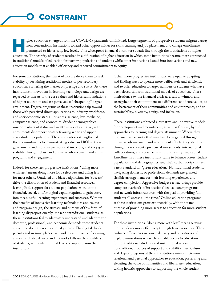<span id="page-32-0"></span>igher education emerged from the COVID-19 pandemic diminished. Large segments of prospective students migrated away from conventional institutions toward other opportunities for skills training and job placement, and college enrollments plummeted to historically low levels. This widespread financial strain tore a fault line through the foundations of higher education. The scarcity of students resulted in a bifurcation of higher education in which some institutions became more entrenched in traditional models of education for narrow populations of students while other institutions leaned into innovations and new education models that enabled efficiency and renewed commitments to equity.

For some institutions, the threat of closure drove them to seek stability by sustaining traditional models of postsecondary education, cornering the market on prestige and status. At these institutions, innovations in learning technology and design are regarded as threats to the core values and historical foundations of higher education and are perceived as "cheapening" degree attainment. Degree programs at these institutions tip toward those with perceived direct applications to industry, workforce, and socioeconomic status—business, science, law, medicine, computer science, and economics. Student demographics mirror markers of status and wealth in society at large, with enrollments disproportionately favoring white and upperclass student populations. These institutions strengthened their commitments to demonstrating value and ROI to their government and industry partners and investors, and they gain stability through robust and exclusive advancement and alumni programs and engagement.

Indeed, for these less progressive institutions, "doing more with less" means doing more for a select few and doing less for most others. Outdated and biased algorithms for "success" drive the distribution of student and financial resources, leaving little support for student populations without the financial, social, and/or digital capital required to gain entry into meaningful learning experiences and successes. Without the benefits of innovative learning technologies and course and program design, the stresses and burdens of this form of learning disproportionately impact nontraditional students, as these institutions fail to adequately understand and adapt to the domestic, professional, and economic demands these students encounter along their educational journey. The digital divide persists and in some places even widens as the onus of securing access to reliable devices and networks falls on the shoulders of students, with only minimal levels of support from their institutions.

Other, more progressive institutions were open to adapting and finding ways to operate more deliberately and efficiently and to offer education to larger numbers of students who have been closed off from traditional models of education. These institutions saw the financial crisis as a call to winnow and strengthen their commitment to a different set of core values, to the betterment of their communities and environments, and to sustainability, diversity, equity, and inclusion.

These institutions embraced alternative and innovative models for development and recruitment, as well as flexible, hybrid approaches to learning and degree attainment. Where they lost financial security that may have been gained through exclusive advancement and recruitment efforts, they stabilized through new eco-entrepreneurial investments, international collaborations, and social activism, fundraising, and capital. Enrollments at these institutions came to balance across student populations and demographics, and their carbon footprints set a new standard for "green education." Nontraditional students navigating domestic or professional demands are granted flexible arrangements for their learning experiences and degree completion. Aggressive budget restructurings provide complete overhauls of institutions' device loaner programs and network infrastructures, with the goal of providing "all students all access all the time." Online education programs at these institutions grew exponentially, with the stated purpose of providing more access to education for more student populations.

For these institutions, "doing more with less" means serving more students more effectively through fewer resources. They embrace efficiencies in course delivery and operations and explore innovations where they enable access to education for nontraditional students and institutional access to nontraditional sources of support and stability. Curriculum and degree programs at these institutions mirror their more relational and personal approaches to education, preserving and elevating the value of humanities and liberal arts education, taking holistic approaches to supporting the whole student.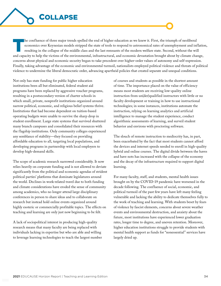

<span id="page-33-0"></span>The confluence of three major trends spelled the end of higher education as we knew it. First, the triumph of neoliberal economics over Keynesian models stripped the state of tools to respond to astronomical rates of unemployment and inflation, resulting in the collapse of the middle class and the last remnants of the modern welfare state. Second, without the will and capacity to help the victims of the environmental, infrastructural, and economic devastation brought about by climate change, concerns about physical and economic security began to take precedent over higher-order values of autonomy and self-expression. Finally, taking advantage of the economic and environmental turmoil, nationalists employed political violence and threats of political violence to undermine the liberal democratic order, advancing apartheid policies that created separate and unequal conditions.

Not only has state funding for public higher education institutions been all but eliminated, federal student aid programs have been replaced by aggressive voucher programs, resulting in a postsecondary version of charter schools in which small, private, nonprofit institutions organized around narrow political, economic, and religious belief systems thrive. Institutions that had become dependent on tuition-based operating budgets were unable to survive the sharp drop in student enrollment. Large state systems that survived shuttered many branch campuses and consolidated their resources with the flagship institutions. Only community colleges experienced any semblance of stability—they focused on providing affordable education to all, targeting local populations, and developing programs in partnership with local employers to develop high-demand skills.

The scope of academic research narrowed considerably. It now relies heavily on corporate funding and is not allowed to deviate significantly from the political and economic agendas of strident political parties' platforms that dominate legislatures around the world. Declines in work-related travel due to both funding and climate considerations have eroded the sense of community among academics, who no longer attend large disciplinary conferences in person to share ideas and to collaborate on research but instead hold online events organized around highly esoteric or commercially profitable topics. The effects on teaching and learning are only just now beginning to be felt.

A lack of sociopolitical interest in producing high-quality research means that many faculty are being replaced with individuals lacking in expertise but who are able and willing to leverage learning technologies to teach the largest number of courses and students as possible in the shortest amount of time. The importance placed on the value of efficiency means most students are receiving low-quality online instruction from un(der)qualified instructors with little or no faculty development or training in how to use instructional technologies; in some instances, institutions automate the instruction, relying on learning analytics and artificial intelligence to manage the student experience, conduct algorithmic assessments of learning, and surveil student behavior and environs with proctoring software.

The slouch of remote instruction to mediocrity has, in part, been exacerbated by the fact that most students cannot afford the devices and internet speeds needed to enroll in high-quality hybrid and online courses. The digital divide between the haves and have nots has increased with the collapse of the economy and the decay of the infrastructure required to support digital learning.

For many faculty, staff, and students, mental health issues brought on by the COVID-19 pandemic have worsened in the decade following. The confluence of social, economic, and political turmoil of the past few years have left many feeling vulnerable and lacking the ability to dedicate themselves fully to the work of teaching and learning. With students beset by fears of violence by fascist elements, concerns about severe weather events and environmental destruction, and anxiety about the future, most institutions have experienced lower graduation rates, longer time to degree, and uneven retention. Moreover, higher education institutions struggle to provide students with mental health support as funds for "nonessential" services have largely dried up.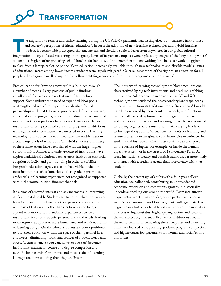<span id="page-34-0"></span>The migration to remote and online learning during the COVID-19 pandemic had lasting effects on students', institutions', and society's perceptions of higher education. Through the adoption of new learning technologies and hybrid learning models, it became widely accepted that anyone can and should be able to learn from anywhere. In our global cultural imagination, images of students sitting on the grassy lawns of in-person campuses were replaced by images of the "anyone anywhere" student—a single mother preparing school lunches for her kids, a first-generation student waiting for a bus after work—logging in to class from a laptop, tablet, or phone. With education increasingly available through new technologies and flexible models, issues of educational access among lower-income students were largely mitigated. Cultural acceptance of the right to an education for all people led to a groundswell of support for college debt forgiveness and free-tuition programs around the world.

Free education for "anyone anywhere" is subsidized through a number of means. Large portions of public funding are allocated for postsecondary tuition and technology support. Some industries in need of expanded labor pools or strengthened workforce pipelines established formal partnerships with institutions to provide needed skills training and certification programs, while other industries have invested in modular tuition packages for students, transferable between institutions offering specified courses or programs. Institutions with significant endowments have invested in costly learning technology and course model innovations that enable them to attract large pools of remote and/or hybrid students, and many of these innovations have been shared with the larger higher ed community. Smaller and under-resourced institutions have explored additional solutions such as cross-institution consortia, adoption of OER, and grant funding in order to stabilize. For-profit education largely ceased to be a viable model for most institutions, aside from those offering niche programs, credentials, or learning experiences not recognized or supported within the normal tuition-funding channels.

It's a time of renewed interest and advancements in improving student mental health. Students are freer now than they've ever been to pursue studies based on their passions or aspirations, with cost of tuition and other barriers to access no longer a point of consideration. Pandemic experiences renewed institutions' focus on students' personal lives and needs, leading to widespread adoption of more humanized and relational forms of learning design. On the whole, students are better positioned to "fit" their education within the space of their personal lives and needs, eliminating traditional sources of student worry and stress. "Learn whenever you can, however you can" becomes institutions' mantra for course and degree completion and new "lifelong learning" programs, and most students' learning journeys are more winding than they are linear.

The industry of learning technology has blossomed into one characterized by big tech investments and headline-grabbing innovations. Advancements in areas such as AI and XR technology have rendered the postsecondary landscape nearly unrecognizable from its traditional roots. Bias-laden AI models have been replaced by more equitable models, and functions traditionally served by human faculty—grading, instruction, and even social interaction and advising—have been automated to varying degrees across institutions with varying levels of technological capability. Virtual environments for learning and research offer more imaginative and immersive experiences for students and instructors alike. Class sessions can take place on the surface of Jupiter, for example, or inside the human digestive system, or in the streets of 18th-century Paris. At some institutions, faculty and administrators are far more likely to interact with a student's avatar than face-to-face with that student.

Globally, the percentage of adults with a four-year college education has ballooned, contributing to unprecedented economic expansion and community growth in historically underdeveloped regions around the world. Postbaccalaureate degree attainment—master's degrees in particular—rises as well. An expansion of workforce segments with graduate-level degrees contributes to a heightened awareness of the inequities in access to higher-status, higher-paying sectors and levels of the workforce. Significant collectives of institutions around the world commit to combating these inequities and launching initiatives focused on supporting graduate program completion and higher-status job placements for women and racial/ethnic minorities.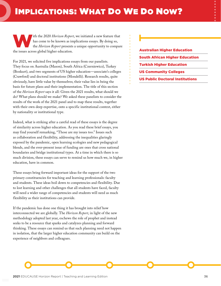has come to be known as implications essays. By doing so,

<span id="page-35-0"></span>IMPLICATIONS: WHAT DO WE DO NOW?

For 2021, we solicited five implications essays from our panelists. They focus on Australia (Mason), South Africa (Czerniewicz), Turkey (Bozkurt), and two segments of US higher education—associate's colleges (Crawford) and doctoral institutions (Mondelli). Research results, quite obviously, have little value by themselves; their value lies in being the basis for future plans and their implementation. The title of this section of the *Horizon Report* says it all: Given the 2021 results, what should we do? What plans should we make? We asked these panelists to consider the results of the work of the 2021 panel and to map these results, together with their own deep expertise, onto a specific institutional context, either by nationality or institutional type.

Indeed, what is striking after a careful read of these essays is the degree of similarity across higher education. As you read these brief essays, you may find yourself remarking, "Those are my issues too." Issues such as collaboration and flexibility, addressing the inequalities glaringly exposed by the pandemic, open learning ecologies and new pedagogical blends, and the ever-present issue of funding are ones that cross national boundaries and bridge institutional types. At a time in which there is so much division, these essays can serve to remind us how much we, in higher education, have in common.

These essays bring forward important ideas for the support of the two primary constituencies for teaching and learning professionals: faculty and students. These ideas boil down to competencies and flexibility. Due to lost learning and other challenges that all students have faced, faculty will need a wider range of competencies and students will need as much flexibility as their institutions can provide.

If the pandemic has done one thing it has brought into relief how interconnected we are globally. The *Horizon Report*, in light of the new methodology adopted last year, eschews the role of prophet and instead seeks to be a resource that sparks and catalyzes planning and forward thinking. These essays can remind us that such planning need not happen in isolation, that the larger higher education community can build on the experience of neighbors and colleagues.

## [Australian Higher Education](#page-36-0)

- [South African Higher Education](#page-38-0)
- [Turkish Higher Education](#page-40-0)
- [US Community Colleges](#page-42-0)
- [US Public Doctoral Institutions](#page-44-0)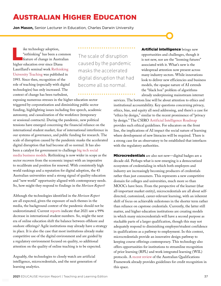## <span id="page-36-0"></span>AUSTRALIAN HIGHER EDUCATION

**Jon Mason,** Senior Lecturer in Education, Charles Darwin University

Is ike technology adoption,<br>
"rethinking" has been a commo:<br>
feature of change in Australian "rethinking" has been a common higher education ever since Diana Laurillard's seminal work [Rethinking](https://www.routledge.com/Rethinking-University-Teaching-A-Conversational-Framework-for-the-Effective/Laurillard/p/book/9780415256797) [University Teaching](https://www.routledge.com/Rethinking-University-Teaching-A-Conversational-Framework-for-the-Effective/Laurillard/p/book/9780415256797) was published in 1993. Since then, recognition of the role of teaching (especially with digital technologies) has only increased. The context of change has been turbulent,

exposing numerous stresses in the higher education sector triggered by corporatization and diminishing public sector funding, highlighting issues including free speech, academic autonomy, and casualization of the workforce (temporary or sessional contracts). During the pandemic, new political tensions have emerged concerning the financial reliance on the international student market, fear of international interference in our systems of governance, and public funding for research. The scale of disruption caused by the pandemic masks the accelerated digital disruption that had become all so normal. It has also been a catalyst for government to challenge [big tech social](https://www.aph.gov.au/Parliamentary_Business/Bills_Legislation/Bills_Search_Results/Result?bId=r6652)  [media business models](https://www.aph.gov.au/Parliamentary_Business/Bills_Legislation/Bills_Search_Results/Result?bId=r6652). Rethinking is now wider in scope as the sector recovers from the economic impact with an imperative to recalibrate and position for renewal. With consistently high world rankings and a reputation for digital adoption, the 43 Australian universities send a strong signal of quality education and "new world" opportunity aligned with contemporary needs. So, how might they respond to findings in the *Horizon Report*?

Although the technologies identified in the *Horizon Report*  are all expected, given the exposure of such themes in the media, the background context of the pandemic should not be underestimated. Current [reports](https://www.aph.gov.au/Parliamentary_Business/Bills_Legislation/Bills_Search_Results/Result?bId=r6652) indicate that 2021 saw a 99% decrease in international student numbers. So, might the next era of online education shift the balance between offshore and onshore offerings? Agile institutions may already have a strategy in place. It is also the case that most institutions already make competitive use of the digital environment and are guided by a regulatory environment focused on quality, so additional attention on the quality of online teaching is to be expected.

Arguably, the technologies to closely watch are artificial intelligence, microcredentials, and the next generation of learning analytics.

The scale of disruption caused by the pandemic masks the accelerated digital disruption that had become all so normal.

Artificial intelligence brings new opportunities and challenges, though it is not new, nor are the "looming futures" associated with it. What's new is the widespread attention now present across many industry sectors. While innovations look to deliver new efficiencies and business models, the opaque nature of AI extends the "black box" problem of algorithms already underpinning mainstream internet

services. The bottom line will be about attention to ethics and institutional accountability. Key questions concerning privacy, ethics, bias, and equity all need addressing, and there's a case for "ethics by design," similar to the recent prominence of "privacy by design." The CSIRO [Artificial Intelligence Roadmap](https://data61.csiro.au/en/Our-Research/Our-Work/AI-Roadmap) provides such ethical guidelines. For educators on the front line, the implications of AI impact the social nature of learning where development of new literacies will be required. There is a strong case for an observatory to be established that interfaces with the regulatory authorities.

Microcredentials are also not new—digital badges are a decade old. Perhaps what is now emerging is a democratized ecosystem of credentialing in which both employers and industry are increasingly becoming producers of credentials rather than just consumers. This represents a new competitive domain for colleges and universities, much more so than MOOCs have been. From the perspective of the learner (that all-important market entity), microcredentials are all about selfdirected, customized, career-relevant learning, with an inherent shift of focus on achievable milestones in the shorter term rather than reliance on capstone credentials. Currently, the latter still matter, and higher education institutions are creating models in which many microcredentials will have a second purpose as stackable parts of a larger qualification, though this may not adequately respond to diminishing employer/student confidence in qualifications as a pathway to employment. In this context, microcredentials provide an innovative design pathway to keeping course offerings contemporary. This technology also offers opportunities for institutions to streamline recognition of prior learning (RPL) and work integrated learning (WIL) protocols. A [recent review](https://www.ncsehe.edu.au/aqf-review-2019/) of the Australian Qualifications Framework already provides guidelines for credit recognition in this space.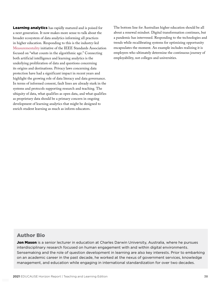Learning analytics has rapidly matured and is poised for a next generation. It now makes more sense to talk about the broader ecosystem of data analytics informing all practices in higher education. Responding to this is the industry-led [Measurementality](https://standards.ieee.org/events/measurementality/index.html) initiative of the IEEE Standards Association focused on "what counts in the algorithmic age." Connecting both artificial intelligence and learning analytics is the underlying proliferation of data and questions concerning its origins and destinations. Privacy laws concerning data protection have had a significant impact in recent years and highlight the growing role of data literacy and data governance. In terms of informed consent, fault lines are already stark in the systems and protocols supporting research and teaching. The ubiquity of data, what qualifies as open data, and what qualifies as proprietary data should be a primary concern in ongoing development of learning analytics that might be designed to enrich student learning as much as inform educators.

The bottom line for Australian higher education should be all about a renewal mindset. Digital transformation continues, but a pandemic has intervened. Responding to the technologies and trends while recalibrating systems for optimizing opportunity encapsulates the moment. An example includes realizing it is employers who ultimately determine the continuous journey of employability, not colleges and universities.

### Author Bio

Jon Mason is a senior lecturer in education at Charles Darwin University, Australia, where he pursues interdisciplinary research focused on human engagement with and within digital environments. Sensemaking and the role of question development in learning are also key interests. Prior to embarking on an academic career in the past decade, he worked at the nexus of government services, knowledge management, and education while engaging in international standardization for over two decades.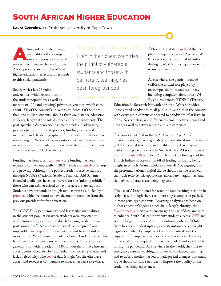## <span id="page-38-0"></span>SOUTH AFRICAN HIGHER EDUCATION

**Laura Czerniewicz,** Professor, University of Cape Town

long with climate change,<br>
inequality is the scourge of<br>
our era. As one of the most inequality is the scourge of unequal countries in the world, South Africa provides an exemplar of how higher education reflects and responds to this social pandemic.

South Africa has 26 public universities, which enroll most of the student population, as well as

more than 100 (and growing) private universities, which enroll about 15% of the country's university students. Of the more than one million students, about a third are distance education students, largely at the sole distance education university. The post-apartheid dispensation has made strides in addressing past inequalities—through policies, funding levers, and mergers—and the demographics of the student population have now changed. Nevertheless, inequities continue: [on numerous](https://www.dhet.gov.za/SiteAssets/Post-School%20Education%20and%20Training%20Monitor%20Report_March%202019.pdf)  [measures](https://www.dhet.gov.za/SiteAssets/Post-School%20Education%20and%20Training%20Monitor%20Report_March%202019.pdf), white students reap more benefits in and from higher education than do black students.

Funding has been a [critical issue;](https://www.universityworldnews.com/post.php?story=20210318090703152) state funding has been repeatedly cut (dramatically in 2021), while [student debt](https://www.universityworldnews.com/post.php?story=20210318090703152) is large and growing. Although the poorest students receive support through NSFAS (National Student Financial Aid Scheme), financial challenges have been severe for the "missing middle," those who can neither afford to pay nor access state support. Students have responded through regular protests, fueled by a [promise](https://www.gov.za/speeches/presidency-response-heher-commission-inquiry-higher-education-and-training-16-dec-2017-0000) (which economists have deemed impossible) from the previous president for free education.

The COVID-19 pandemic exposed less visible inequalities in the student population when students were expected to study from home, as indeed it also did among academics and professional staff. An across-the-board "online pivot" was impossible, and a [quarter](https://gola.education/wp-content/uploads/2021/02/Students-Acces-to-and-use-of-Learning-Materials-South-Africa-DHET-Survey-Report-2020.pdf) of students did not have modules move online. While most students had some kind of device, this hardware was extremely uneven in capability. [Internet access](https://researchictafrica.net/publication/state-of-ict-in-south-africa/) in general is not widespread; only 11% of households have internet access, constrained also by rural/urban connectivity divides and lack of electricity. The [cost](https://researchictafrica.net/publication/after-access-2018-a-demand-side-view-of-mobile-internet-from-10-african-countries/) of data is high. Yet the elite have access and resources comparable to what elites have elsewhere.

Even in the richest countries, the plight of vulnerable students and those with barriers to learning has been foregrounded.

Although the state [mandated](https://www.gov.za/sites/default/files/gcis_document/202003/43164gon-417.pdf) that cell phone companies provide "zero rated" (free) access to educational websites during 2020, this offering comes with terms and conditions.

As elsewhere, the pandemic made visible the critical role played by on-campus facilities and resources, including computer laboratories, Wi-Fi, and residences. TENET (Tertiary

Education & Research Network of South Africa) provides uncongested bandwidth to all public universities in the country, with every main campus connected to bandwidth of at least 10 Gbps. Nevertheless, real differences remain between rural and urban, as well as between main and sub campuses.

The issues identified in the 2021 *Horizon Report*—AI, microcredentials, learning analytics, open educational resources (OER), blended teaching, and quality online learning—are neither unexpected nor new in South Africa. AI is considered by a [Presidential Report](https://thegrandgeeks.africa/2020/11/13/final-report-the-presidential-commission-on-4ir/) to be "the bedrock technology" of the Fourth Industrial Revolution (4IR) leading to coding being taught in schools. Some scholars contest 4IR by arguing that the profound national digital divide should first be resolved, that such tech-centric approaches exacerbate inequalities, and that critical literacies are being neglected.

The use of AI techniques for teaching and learning is still in its early days, although there are interesting examples, especially in more privileged contexts. Learning analytics has been on higher education's agenda since 2014, largely through the [Siyaphumelela](https://siyaphumelela.org.za/) initiative to encourage the use of data analytics to enhance South African university student success. [OER](https://www.nba.co.za/understanding-impact-oer-achievements-and-challenges) are acknowledged in national and institutional policies. While there has been modest uptake, a constraint may be copyright legislation, whereby employers (i.e., universities) own the copyright for employees' works. Nevertheless, a 2020 [survey](https://gola.education/wp-content/uploads/2021/02/Students-Acces-to-and-use-of-Learning-Materials-South-Africa-DHET-Survey-Report-2020.pdf) found that almost a quarter of students had downloaded OER during the pandemic. As elsewhere in the world, the shift to emergency remote teaching, to physically distanced teaching, and to hybrid models has led to pedagogical changes that many argue should continue in order to improve the quality of the student learning experience.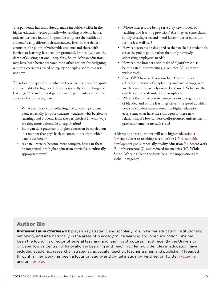The pandemic has undoubtedly made inequities visible in the higher education sector globally—by sending students home, universities have found it impossible to ignore the realities of students' vastly different circumstances. Even in the richest countries, the plight of vulnerable students and those with barriers to learning has been foregrounded. Ironically, given the depth of existing national inequality, South African educators may have been better prepared than other nations for designing remote experiences based on equity principles; sadly, this was not new.

Therefore, the question is, what do these trends mean for equity and inequality for higher education, especially for teaching and learning? Research, investigation, and experimentation need to consider the following issues:

- What are the risks of collecting and analyzing student data, especially for poor students, students with barriers to learning, and students from the peripheries? In what ways are they more vulnerable to exploitation?
- How can data practices in higher education be carried out in a manner that pays back to communities from which data is extracted?
- As data literacies become more complex, how can these be integrated into higher education curricula in culturally appropriate ways?
- Whose interests are being served by new models of teaching and learning provision? Are they, as some claim, simply creating a second—and lesser—tier of education for the less well-off?
- How can systems be designed so that stackable credentials serve the public good, rather than only narrowly addressing employers' needs?
- How can the broader social risks of algorithmic bias be mitigated in universities, given that AI is not yet widespread?
- Since OER have such obvious benefits for higher education in terms of adaptability and cost savings, why are they not more widely created and used? What are the enablers and constraints for their uptake?
- What is the role of private companies in emergent forms of blended and online learning? Given the speed at which new stakeholders have entered the higher education ecosystem, what have the risks been of these new relationships? How can less-well-resourced universities, in particular, ameliorate such risks?

Addressing these questions will take higher education a few steps closer to reaching several of the UN [sustainable](https://sdgs.un.org/goals) [development goals](https://sdgs.un.org/goals), especially quality education (4), decent work (8), infrastructure (9), and reduced inequalities (10). While South Africa has been the focus here, the implications are global in urgency.

## Author Bio

**Professor Laura Czerniewicz** plays a key strategic and scholarly role in higher education institutionally, nationally, and internationally in the areas of blended/online learning and open education. She has been the founding director of several teaching and learning structures, most recently the University of Cape Town's Centre for Innovation in Learning and Teaching. Her multiple roles in education have included academic, researcher, strategist, advocate, teacher, teacher trainer, and publisher. Threaded through all her work has been a focus on equity and digital inequality. Find her on Twitter [@czernie](https://twitter.com/czernie) and on [her blog](https://czernie.weebly.com/).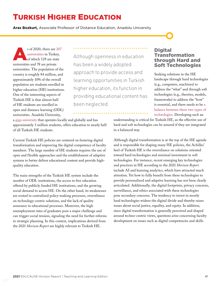## <span id="page-40-0"></span>TURKISH HIGHER EDUCATION

**Aras Bozkurt,** Associate Professor of Distance Education, Anadolu University

s of 2020, there are [207](https://istatistik.yok.gov.tr/)<br>universities in Turkey,<br>of which 129 are state [universities](https://istatistik.yok.gov.tr/) in Turkey, of which 129 are state universities and 78 are private universities. The population of the country is roughly 84 million, and approximately 10% of the overall population are students enrolled in higher education (HE) institutions. One of the interesting aspects of Turkish HE is that almost half of HE students are enrolled in open and distance learning (ODL) universities. Anadolu University,

Although openness in education has been a widely adopted approach to provide access and learning opportunities in Turkish higher education, its function in providing educational content has been neglected.

#### a [giga university](http://www.irrodl.org/index.php/irrodl/article/view/4086) that operates locally and globally and has approximately 3 million students, offers education to nearly half of all Turkish HE students.

Current Turkish HE policies are centered on fostering digital transformation and improving the digital competence of faculty members. The large number of HE students requires the use of open and flexible approaches and the establishment of adaptive systems to better deliver educational content and provide highquality education.

The main strengths of the Turkish HE system include the number of ODL institutions, the access to free education offered by publicly funded HE institutions, and the growing social demand to access HE. On the other hand, its weaknesses are rooted in centralized policy-making processes, overreliance on technology-centric solutions, and the lack of quality assurance in educational processes. Moreover, the high unemployment rates of graduates pose a major challenge and can trigger social tension, signaling the need for further reforms in strategic planning. In this context, implications derived from the 2021 *Horizon Report* are highly relevant to Turkish HE.

### **Digital** Transformation through Hard and Soft Technologies

Seeking solutions in the HE landscape through hard technologies (e.g., computers, machines) to address the "what" and through soft technologies (e.g., theories, models, frameworks) to address the "how" is essential, and there needs to be [a](https://jime.open.ac.uk/articles/10.5334/jime.570/) [balance between these two types of](https://jime.open.ac.uk/articles/10.5334/jime.570/) [technologies](https://jime.open.ac.uk/articles/10.5334/jime.570/). Developing such an

understanding is critical for Turkish HE, as the effective use of hard and soft technologies can be assured if they are integrated in a balanced way.

Although digital transformation is at the top of the HE agenda and is responsible for shaping many HE policies, the Achilles' heel of Turkish HE is the overreliance on solutions oriented toward hard technologies and minimal investment in soft technologies. For instance, recent emerging key technologies and practices in HE according to the 2021 *Horizon Report* include AI and learning analytics, which have attracted much attention. Yet how to fully benefit from these technologies to provide personalized and adaptive learning has not been clearly articulated. Additionally, the digital footprints, privacy concerns, surveillance, and ethics associated with these technologies pose secondary concerns. The tendency to invest in mostly hard technologies widens the digital divide and thereby raises issues about social justice, equality, and equity. In addition, since digital transformation is generally perceived and shaped around techno-centric views, questions arise concerning faculty development on issues such as digital competencies and skills.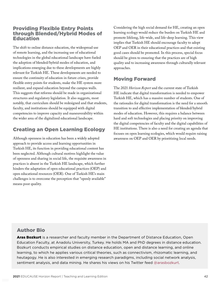## Providing Flexible Entry Points through Blended/Hybrid Modes of Education

The shift to online distance education, the widespread use of remote learning, and the increasing use of educational technologies in the global educational landscape have fueled the adoption of blended/hybrid modes of education, and implications emerging due to these developments are highly relevant for Turkish HE. These developments are needed to ensure the continuity of education in future crises, provide flexible entry points for students, make the HE system more resilient, and expand education beyond the campus walls. This suggests that reforms should be made in organizational structures and regulatory legislation. It also suggests, most notably, that curriculum should be redesigned and that students, faculty, and institutions should be equipped with digital competencies to improve capacity and maneuverability within the wider area of the digitalized educational landscape.

## Creating an Open Learning Ecology

Although openness in education has been a widely adopted approach to provide access and learning opportunities in Turkish HE, its function in providing educational content has been neglected. Although cultural motives highlight the value of openness and sharing in social life, the requisite awareness in practices is absent in the Turkish HE landscape, which further hinders the adaptation of open educational practices (OEP) and open educational resources (OER). One of Turkish HE's main challenges is to overcome the perception that "openly available" means poor quality.

Considering the high social demand for HE, creating an open learning ecology would reduce the burden on Turkish HE and promote lifelong, life-wide, and life-deep learning. This view implies that Turkish HE should encourage faculty to adopt OEP and OER in their educational practices and that existing good cases should be promoted. In this process, special focus should be given to ensuring that the practices are of high quality and to increasing awareness through culturally relevant approaches.

## Moving Forward

The 2021 *Horizon Report* and the current state of Turkish HE indicate that digital transformation is needed to empower Turkish HE, which has a massive number of students. One of the rationales for digital transformation is the need for a smooth transition to and effective implementation of blended/hybrid modes of education. However, this requires a balance between hard and soft technologies and placing priority on improving the digital competencies of faculty and the digital capabilities of HE institutions. There is also a need for creating an agenda that focuses on open learning ecologies, which would require raising awareness on OEP and OER by prioritizing local needs.

## Author Bio

Aras Bozkurt is a researcher and faculty member in the Department of Distance Education, Open Education Faculty, at Anadolu University, Turkey. He holds MA and PhD degrees in distance education. Bozkurt conducts empirical studies on distance education, open and distance learning, and online learning, to which he applies various critical theories, such as connectivism, rhizomatic learning, and heutagogy. He is also interested in emerging research paradigms, including social network analysis, sentiment analysis, and data mining. He shares his views on his Twitter feed [@arasbozkurt.](https://twitter.com/arasbozkurt)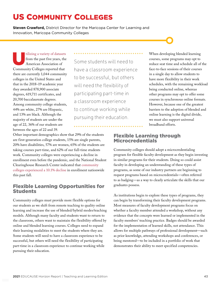## <span id="page-42-0"></span>US COMMUNITY COLLEGES

**Steven Crawford,** District Director for the Maricopa Center for Learning and Innovation, Maricopa Community Colleges

[tilizing a variety of datasets](https://www.aacc.nche.edu/wp-content/uploads/2021/03/AACC_2021_FastFacts.pdf) from the past five years, the American Association of Community Colleges reported that there are currently 1,044 community colleges in the United States and that in the 2018–19 academic year they awarded 878,900 associate degrees, 619,711 certificates, and 20,700 baccalaureate degrees. Among community college students, 44% are white, 27% are Hispanic, and 13% are black. Although the majority of students are under the age of 22, 36% of our students are between the ages of 22 and 39.

Some students will need to have a classroom experience to be successful, but others will need the flexibility of participating part-time in a classroom experience to continue working while pursuing their education.

When developing blended learning courses, some programs may opt to reduce seat time and schedule all of the face-to-face sessions of their courses in a single day to allow students to have more flexibility in their work schedules, with the remaining workload being conducted online, whereas other programs may opt to offer some courses in synchronous online formats. However, because one of the greatest barriers to the adoption of blended and online learning is the digital divide, we must also support universal broadband efforts.

Other important demographics show that 29% of the students are first-generation college students, 15% are single parents, 20% have disabilities, 57% are women, 65% of the students are taking courses part-time, and 62% of our full-time students work. Community colleges were experiencing a decline in enrollment even before the pandemic, and the National Student Clearinghouse Research Center indicated that [community](https://nscresearchcenter.org/wp-content/uploads/CTEE_Report_Fall_2020.pdf)  [colleges experienced a 10.1% decline](https://nscresearchcenter.org/wp-content/uploads/CTEE_Report_Fall_2020.pdf) in enrollment nationwide this past fall.

## Flexible Learning Opportunities for Students

Community colleges must provide more flexible options for our students as we shift from remote teaching to quality online learning and increase the use of blended/hybrid modes/teaching models. Although many faculty and students want to return to the classroom, others want to maintain the flexibility offered by online and blended learning courses. Colleges need to expand their learning modalities to meet the students where they are. Some students will need to have a classroom experience to be successful, but others will need the flexibility of participating part-time in a classroom experience to continue working while pursuing their education.

## Flexible Learning through Microcredentials

Community colleges should adopt a microcredentialing program for flexible faculty development as they begin investing in similar programs for their students. Doing so could assist faculty in developing an understanding of these types of programs, as some of our industry partners are beginning to request programs based on microcredentials—often referred to as badging—as a way to clearly articulate the skills that our graduates possess.

As institutions begin to explore these types of programs, they can begin by transforming their faculty development programs. Most measures of faculty development programs focus on whether a faculty member attended a workshop, without any evidence that the concepts were learned or implemented in the faculty members' teaching practice. Badges should be awarded for the implementation of learned skills, not attendance. This allows for multiple pathways of professional development—such as prior knowledge, attending workshops and conferences, or being mentored—to be included in a portfolio of work that demonstrates their ability to meet specified competencies.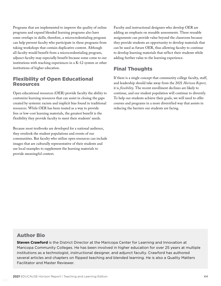Programs that are implemented to improve the quality of online programs and expand blended learning programs also have some overlaps in skills; therefore, a microcredentialing program can help prevent faculty who participate in these programs from taking workshops that contain duplicative content. Although all faculty would benefit from a microcredentialing program, adjunct faculty may especially benefit because some come to our institutions with teaching experiences in a K–12 system or other institutions of higher education.

### Flexibility of Open Educational Resources

Open educational resources (OER) provide faculty the ability to customize learning resources that can assist in closing the gaps created by systemic racism and implicit bias found in traditional resources. While OER has been touted as a way to provide free or low-cost learning materials, the greatest benefit is the flexibility they provide faculty to meet their students' needs.

Because most textbooks are developed for a national audience, they overlook the student populations and events of our communities. But faculty who utilize open resources can include images that are culturally representative of their students and use local examples to supplement the learning materials to provide meaningful context.

Faculty and instructional designers who develop OER are adding an emphasis on reusable assessments. These reusable assignments can provide value beyond the classroom because they provide students an opportunity to develop materials that can be used as future OER, thus allowing faculty to continue to develop learning materials that reflect their students while adding further value to the learning experience.

## Final Thoughts

If there is a single concept that community college faculty, staff, and leadership should take away from the 2021 *Horizon Report*, it is *flexibility*. The recent enrollment declines are likely to continue, and our student population will continue to diversify. To help our students achieve their goals, we will need to offer courses and programs in a more diversified way that assists in reducing the barriers our students are facing.

## Author Bio

**Steven Crawford** is the District Director at the Maricopa Center for Learning and Innovation at Maricopa Community Colleges. He has been involved in higher education for over 25 years at multiple institutions as a technologist, instructional designer, and adjunct faculty. Crawford has authored several articles and chapters on flipped teaching and blended learning. He is also a Quality Matters Facilitator and Master Reviewer.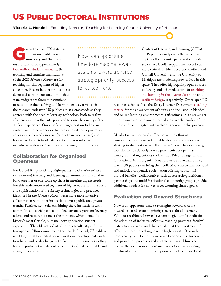## <span id="page-44-0"></span>US PUBLIC DOCTORAL INSTITUTIONS

**Victoria L. Mondelli**, Founding Director, Teaching for Learning Center, University of Missouri

iven that each US state has<br>at least one public research<br>university and that these at least one public research university and that these institutions serve approximately [four million students annually,](https://www.amacad.org/) the teaching and learning implications of the 2021 *Horizon Report* are far reaching for this segment of higher education. Recent budget strains due to decreased enrollments and diminished state budgets are forcing institutions

Now is an opportune time to reimagine reward systems toward a shared strategic priority: success for all learners.

Centers of teaching and learning (CTLs) at US publics rarely enjoy the same bench depth as their counterparts in the private sector. Yet faculty support has never been more critical. Publics need one another, and Cornell University and the University of Michigan are modelling how to lead in this space. They offer high-quality open courses to faculty and other educators for [teaching](https://www.edx.org/course/teaching-learning-in-the-diverse-classroom)  [and learning in the diverse classroom](https://www.edx.org/course/teaching-learning-in-the-diverse-classroom) and [resilient design](https://www.coursera.org/learn/resilient-teaching-through-times-of-crisis?utm_source=umich&utm_medium=institutions&utm_campaign=michigan-online&utm_term=Resilient+Teaching+Through+Times+of+Crisis+and+Change&utm_content=website), respectively. Other open PD

to reexamine the teaching and learning endeavor vis-à-vis the research endeavor. US publics are at a crossroads as they contend with the need to leverage technology both to realize efficiencies across the enterprise and to raise the quality of the student experience. Our chief challenges pertain to how we evolve existing networks so that professional development for educators is deemed essential (rather than nice to have) and how we redesign (often) calcified faculty reward structures to incentivize widescale teaching and learning improvements.

## Collaboration for Organized Openness

For US publics prioritizing high-quality (read *evidence-based and inclusive*) teaching and learning environments, it is vital to band together or else come up short in meeting urgent needs. For this under-resourced segment of higher education, the costs and sophistication of the six key technologies and practices identified in the *Horizon Report* necessitate more intensive collaboration with other institutions across public and private terrain. Further, networks combining these institutions with nonprofits and social justice–minded corporate partners leverage talents and resources to meet the moment, which demands history's most flexible, humane, next-generation student experience. The old method of offering a faculty stipend to a few open ed fellows won't move the needle. Instead, US publics need high-quality curated open educational development assets to achieve widescale change with faculty and instructors as they become proficient wielders of ed tech to (re-)make equitable and engaging learning.

resources exist, such as the Every Learner Everywhere [coaching](https://www.everylearnereverywhere.org/expert-network/#:~:text=The%20Every%20Learner%20Everywhere%20Expert,face%2Dto%2Dface%20instruction%20to) [service](https://www.everylearnereverywhere.org/expert-network/#:~:text=The%20Every%20Learner%20Everywhere%20Expert,face%2Dto%2Dface%20instruction%20to) for the advancement of equity and inclusion in blended and online learning environments. Oftentimes, it is a scavenger hunt to uncover these much-needed aids, yet the burden of the hunt could be mitigated with a clearinghouse for this purpose.

Mindset is another hurdle. The prevailing ethos of competitiveness between US public doctoral institutions is starting to shift with new collaborative/open behaviors taking root thanks to relatively new requirements for openness from grantmaking entities such as the NSF and large private foundations. With organizational prowess and extraordinary reach, US publics can bring their collective wherewithal forward and unlock a cooperative orientation offering substantial mutual benefits. Collaboratives such as research–practitioner partnerships and multi-institutional community groups provide additional models for how to meet daunting shared goals.

## Evaluation and Reward Structures

Now is an opportune time to reimagine reward systems toward a shared strategic priority: success for all learners. Without recalibrated reward systems to give ample credit for the adoption of inclusive, effective teaching practices, faculty/ instructors receive a void that signals that the investment of effort to improve teaching is not a high priority. Research productivity is meticulously measured and "counts" for tenure and promotion processes and contract renewal. However, despite the vociferous student success rhetoric proliferating on almost all campuses, the adoption of evidence-based and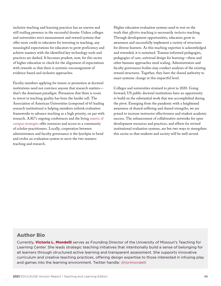inclusive teaching and learning practices has an uneven and still trailing presence in the successful dossier. Unless colleges and universities erect measurement and reward systems that offer more credit to educators for investing in teaching, any meaningful expectations for educators to grow proficiency and achieve mastery with the identified key technology tools and practices are dashed. It becomes prudent, now, for this sector of higher education to check for the alignment of expectations with rewards so that there is systemic encouragement of evidence-based and inclusive approaches.

Faculty members applying for tenure or promotion at doctoral institutions need not convince anyone that research matters that's the dominant paradigm. Persuasion that there is room to invest in teaching quality has been the harder sell. The Association of American Universities (composed of 65 leading research institutions) is helping members rethink evaluation frameworks to advance teaching as a high priority, on par with research. AAU's ongoing conferences and the living [matrix of](https://www.aau.edu/sites/default/files/AAU-Files/STEM-Education-Initiative/P&T-Matrix.pdf)  [campus strategies](https://www.aau.edu/sites/default/files/AAU-Files/STEM-Education-Initiative/P&T-Matrix.pdf) offer resources and access to a community of scholar-practitioners. Locally, cooperation between administrators and faculty governance is the lynchpin to bend and evolve an evaluation system to serve the two masters: teaching and research.

Higher education evaluation systems need to rest on the truth that *effective* teaching is necessarily *inclusive* teaching. Through development opportunities, educators grow in awareness and successfully implement a variety of structures for diverse learners. As this teaching expertise is acknowledged and rewarded, it is sustained. Trauma-informed pedagogies, pedagogies of care, universal design for learning—these and other humane approaches need scaling. Administrators and faculty governance bodies may conduct analyses of the existing reward structures. Together, they have the shared authority to enact systemic change at this impactful level.

Colleges and universities strained to pivot in 2020. Going forward, US public doctoral institutions have an opportunity to build on the substantial work that was accomplished during the pivot. Emerging from the pandemic with a heightened awareness of shared suffering and shared strengths, we are poised to increase instructor effectiveness and student academic success. The enhancement of collaborative networks for open development resources and practices, and efforts for revised institutional evaluation systems, are but two ways to strengthen this sector so that students and society will be well served.

#### Author Bio

Currently, Victoria L. Mondelli serves as Founding Director of the University of Missouri's Teaching for Learning Center. She leads strategic teaching initiatives that intentionally build a sense of belonging for all learners through structured active learning and transparent assessment. She supports innovative curriculum and creative teaching practices, offering design expertise to those interested in infusing play and games into the learning environment. Twitter handle: [@torimondelli](https://twitter.com/torimondelli)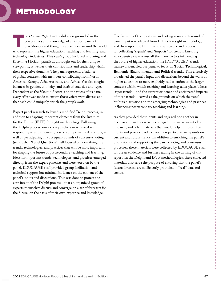<span id="page-46-0"></span>The *Horizon Report* methodology is grounded in the perspectives and knowledge of an expert panel of practitioners and thought leaders from around the world perspectives and knowledge of an expert panel of who represent the higher education, teaching and learning, and technology industries. This year's group included returning and first-time Horizon panelists, all sought out for their unique viewpoints, as well as their contributions and leadership within their respective domains. The panel represents a balance of global contexts, with members contributing from North America, Europe, Asia, Australia, and Africa. We also sought balances in gender, ethnicity, and institutional size and type. Dependent as the *Horizon Report* is on the voices of its panel, every effort was made to ensure those voices were diverse and that each could uniquely enrich the group's work.

Expert panel research followed a modified Delphi process, in addition to adapting important elements from the Institute for the Future (IFTF) foresight methodology. Following the Delphi process, our expert panelists were tasked with responding to and discussing a series of open-ended prompts, as well as participating in subsequent rounds of consensus voting (see sidebar "Panel Questions"), all focused on identifying the trends, technologies, and practices that will be most important for shaping the future of postsecondary teaching and learning. Ideas for important trends, technologies, and practices emerged directly from the expert panelists and were voted on by the panel. EDUCAUSE staff provided group facilitation and technical support but minimal influence on the content of the panel's inputs and discussions. This was done to protect the core intent of the Delphi process—that an organized group of experts themselves discuss and converge on a set of forecasts for the future, on the basis of their own expertise and knowledge.

The framing of the questions and voting across each round of panel input was adapted from IFTF's foresight methodology and drew upon the IFTF trends framework and process for collecting "signals" and "impacts" for trends. Ensuring an expansive view across all the many factors influencing the future of higher education, the IFTF "STEEP" trends framework enabled our panel to focus on Social, Technological, Economic, Environmental, and Political trends. This effectively broadened the panel's input and discussions beyond the walls of higher education to more explicitly call attention to the larger contexts within which teaching and learning takes place. These larger trends—and the current evidence and anticipated impacts of these trends—served as the grounds on which the panel built its discussions on the emerging technologies and practices influencing postsecondary teaching and learning.

As they provided their inputs and engaged one another in discussion, panelists were encouraged to share news articles, research, and other materials that would help reinforce their inputs and provide evidence for their particular viewpoints on current and future trends. In addition to enriching the panel's discussions and supporting the panel's voting and consensus processes, these materials were collected by EDUCAUSE staff for use as evidence and further reading in the writing of this report. In the Delphi and IFTF methodologies, these collected materials also serve the purpose of ensuring that the panel's future forecasts are sufficiently grounded in "real" data and trends.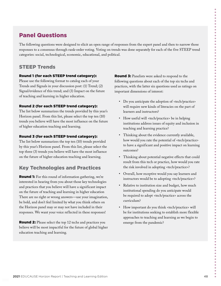## Panel Questions

The following questions were designed to elicit an open range of responses from the expert panel and then to narrow those responses to a consensus through rank-order voting. Voting on trends was done separately for each of the five STEEP trend categories: social, technological, economic, educational, and political.

## STEEP Trends

#### Round 1 (for each STEEP trend category):

Please use the following format to catalog each of your Trends and Signals in your discussion post: (1) Trend; (2) Signal/evidence of this trend; and (3) Impact on the future of teaching and learning in higher education.

#### Round 2 (for each STEEP trend category):

The list below summarizes the trends provided by this year's Horizon panel. From this list, please select the top ten (10) trends you believe will have the most influence on the future of higher education teaching and learning.

#### Round 3 (for each STEEP trend category):

The list below summarizes the top ten (10) trends provided by this year's Horizon panel. From this list, please select the top three (3) trends you believe will have the most influence on the future of higher education teaching and learning.

## Key Technologies and Practices

Round 1: For this round of information gathering, we're interested in hearing from you about those key technologies and practices that you believe will have a significant impact on the future of teaching and learning in higher education There are no right or wrong answers—use your imagination, be bold, and don't feel limited by what you think others on the Horizon panel may or may not have included in their responses. We want your voice reflected in these responses!

Round 2: Please select the top 12 techs and practices you believe will be most impactful for the future of global higher education teaching and learning.

**Round 3:** Panelists were asked to respond to the following questions about each of the top six techs and practices, with the latter six questions used as ratings on important dimensions of interest:

- Do you anticipate the adoption of <tech/practice> will require new kinds of literacies on the part of learners and instructors?
- How useful will <tech/practice> be in helping institutions address issues of equity and inclusion in teaching and learning practice?
- Thinking about the evidence currently available, how would you rate the potential of <tech/practice> to have a significant and positive impact on learning outcomes?
- Thinking about potential negative effects that could result from this tech or practice, how would you rate the risk involved in adopting <tech/practice>?
- Overall, how receptive would you say learners and instructors would be to adopting <tech/practice>?
- Relative to institution size and budget, how much institutional spending do you anticipate would be required to adopt <tech/practice> across the curriculum?
- How important do you think <tech/practice> will be for institutions seeking to establish more flexible approaches to teaching and learning as we begin to emerge from the pandemic?

 $\bullet$  $\bullet$  $\bullet$  $\bullet$  $\bullet$  $\bullet$  $\bullet$ 

 $\bullet$  $\bullet$  $\bullet$  $\ddot{\bullet}$  $\bullet$  $\bullet$  $\bullet$  $\bullet$  $\bullet$  $\bullet$  $\bullet$  $\ddot{\bullet}$  $\bullet$  $\bullet$  $\bullet$  $\bullet$  $\bullet$  $\bullet$  $\bullet$  $\bullet$  $\bullet$ 

 $\bullet$  $\bullet$  $\bullet$  $\ddot{\bullet}$  $\bullet$  $\bullet$  $\bullet$  $\bullet$  $\bullet$  $\bullet$  $\bullet$  $\bullet$  $\bullet$  $\bullet$  $\bullet$ 

> ó  $\bullet$ Ŏ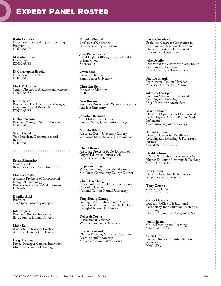## <span id="page-48-0"></span>EXPERT PANEL ROSTER

**Kathe Pelletier** Director of the Teaching and Learning Program EDUCAUSE

**Malcolm Brown** Consultant EDUCAUSE

**D. Christopher Brooks** Director of Research EDUCAUSE

**Mark McCormack** Senior Director of Analytics and Research EDUCAUSE

**Jamie Reeves** Product and Portfolio Senior Manager, Communities and Research EDUCAUSE

**Nichole Arbino** Program Manager, Student Success **EDUCAUSE** 

**Susan Grajek** Vice President, Communities and Research EDUCAUSE

**Bryan Alexander** Senior Scholar Bryan Alexander Consulting, LLC

**Maha Al-Freih** Assistant Professor of Instructional Design & Technology Princess Nourah bint Abdulrahman University

**Kumiko Aoki** Professor The Open University of Japan

**John Augeri** Program Director/Researcher Ile-de-France Digital University

**Maha Bali** Associate Professor of Practice American University in Cairo

**Helga Bechmann** Project Manager Campus Innovation Multimedia Kontor Hamburg

**Kamel Belhamel** Professor of Chemistry University of Bejaia, Algeria

**Jean-Pierre Berthet** Chief Digital Officer, Institute for Skills & Innovation Sciences Po

**Gwen Bird** Dean of Libraries Simon Fraser University

**Christien Bok** Innovation Manager SURF

**Aras Bozkurt** Associate Professor of Distance Education Anadolu University

**Jonathan Brennan** Chief Information Officer Hudson Valley Community College

**Marwin Britto** Associate Dean, University Library California State University–Dominguez Hills

**Cheryl Brown** Associate Professor & Co-Director of Digital Education Futures Lab University of Canterbury

**Stephanie Bulger** Vice Chancellor, Instructional Services San Diego Community College District

**Chun-Yen Chang** Chair Professor and Director of Science Education Center National Taiwan Normal University

**Feng-Kuang Chiang** Distinguished Professor and Director, Department of Educational Technology Shanghai Normal University

**Deborah Cooke** Instructional Designer Western Governors University

**Steven Crawford** District Director, Maricopa Center for Learning and Innovation Maricopa Community Colleges

**Laura Czerniewicz** Professor, Centre for Innovation in Learning and Teaching, Centre for Higher Education Development University of Cape Town

 $\bullet$  $\bullet$  $\bullet$  $\ddot{\bullet}$  $\bullet$ 

 $\bullet$  $\bullet$  $\bullet$  $\bullet$  $\bullet$  $\bullet$ 

 $\bullet$  $\bullet$  $\bullet$  $\bullet$  $\ddot{\bullet}$ 

**POPULATION** 

 $\bullet$  $\bullet$  $\bullet$  $\bullet$  $\bullet$ 

 $\bullet$  $\bullet$  $\bullet$  $\bullet$  $\bullet$ 

**POPULATION** 

 $\bullet$  $\bullet$  $\bullet$  $\bullet$ 

--------

 $\bullet$  $\bullet$  $\bullet$  $\bullet$  $\bullet$  $\bullet$  $\ddot{\bullet}$  $\ddot{\bullet}$  $\bullet$  $\bullet$  $\bullet$  $\bullet$  $\bullet$  $\bullet$ 

**Julie Delello** Director of the Center for Excellence in Teaching and Learning The University of Texas at Tyler

**Paul Desmarais** Instructional Design Manager American University in Cairo

**Silvester Draaijer** Program Manager, VU Network for Teaching and Learning Vrije Universiteit Amsterdam

**Martin Ebner** Director, Department of Educational Technology & Adjunct Prof. of Media Informatics Graz University of Technology

**Kevin Gannon** Director, Center for Excellence in Teaching and Learning & Professor of History Grand View University

**David Gibson** UNESCO Chair on Data Science in Higher Education Learning & Teaching Curtin University

**Rob Gibson** Director, Learning Technologies Emporia State University

**Terry Greene** eLearning Designer Trent University

**Carlos Guevara** Director, Office of Educational Technology and Center for Teaching & Learning Hostos Community College–CUNY

**Jenni Hayman** Chair, Teaching and Learning Cambrian College

**Chris Hutt** Project Director, Advising Success Network NACADA